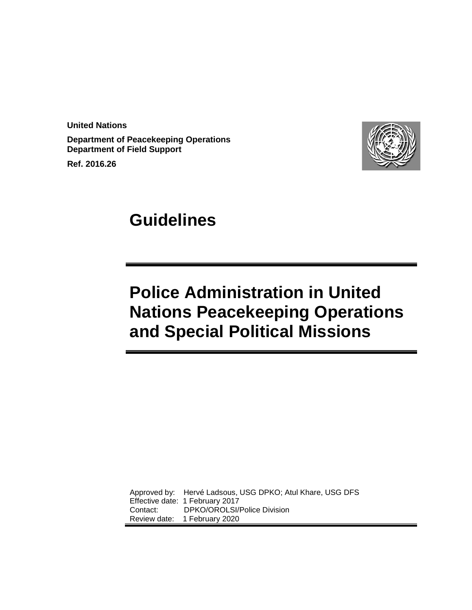**United Nations**

**Department of Peacekeeping Operations Department of Field Support**

**Ref. 2016.26**



# **Guidelines**

# **Police Administration in United Nations Peacekeeping Operations and Special Political Missions**

Approved by: Hervé Ladsous, USG DPKO; Atul Khare, USG DFS Effective date: 1 February 2017<br>Contact: DPKO/OROLSI/ DPKO/OROLSI/Police Division Review date: 1 February 2020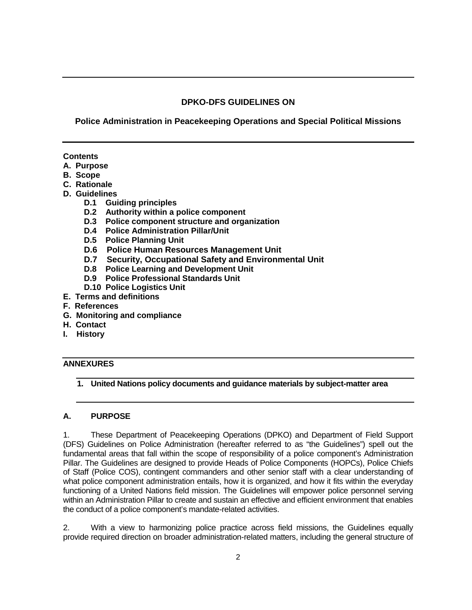# **DPKO-DFS GUIDELINES ON**

# **Police Administration in Peacekeeping Operations and Special Political Missions**

# **Contents**

- **A. Purpose**
- **B. Scope**
- **C. Rationale**
- **D. Guidelines**
	- **D.1 Guiding principles**
	- **D.2 Authority within a police component**
	- **D.3 Police component structure and organization**
	- **D.4 Police Administration Pillar/Unit**
	- **D.5 Police Planning Unit**
	- **D.6 Police Human Resources Management Unit**
	- **D.7 Security, Occupational Safety and Environmental Unit**
	- **D.8 Police Learning and Development Unit**
	- **D.9 Police Professional Standards Unit**
	- **D.10 Police Logistics Unit**
- **E. Terms and definitions**
- **F. References**
- **G. Monitoring and compliance**
- **H. Contact**
- **I. History**

# **ANNEXURES**

**1. United Nations policy documents and guidance materials by subject-matter area**

# **A. PURPOSE**

1. These Department of Peacekeeping Operations (DPKO) and Department of Field Support (DFS) Guidelines on Police Administration (hereafter referred to as "the Guidelines") spell out the fundamental areas that fall within the scope of responsibility of a police component's Administration Pillar. The Guidelines are designed to provide Heads of Police Components (HOPCs), Police Chiefs of Staff (Police COS), contingent commanders and other senior staff with a clear understanding of what police component administration entails, how it is organized, and how it fits within the everyday functioning of a United Nations field mission. The Guidelines will empower police personnel serving within an Administration Pillar to create and sustain an effective and efficient environment that enables the conduct of a police component's mandate-related activities.

<span id="page-1-0"></span>2. With a view to harmonizing police practice across field missions, the Guidelines equally provide required direction on broader administration-related matters, including the general structure of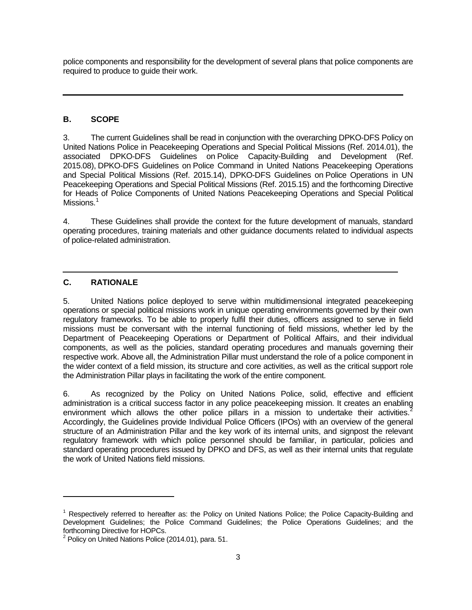police components and responsibility for the development of several plans that police components are required to produce to guide their work.

#### **B. SCOPE**

3. The current Guidelines shall be read in conjunction with the overarching DPKO-DFS [Policy on](http://www.un.org/en/peacekeeping/sites/police/initiatives/policy.shtml)  [United Nations Police in Peacekeeping Operations and Special Political Missions](http://www.un.org/en/peacekeeping/sites/police/initiatives/policy.shtml) (Ref. 2014.01), the associated DPKO-DFS Guidelines on Police [Capacity-Building and Development](http://www.un.org/en/peacekeeping/sites/police/initiatives/capacity-building-guidelines.shtml) (Ref. 2015.08), DPKO-DFS Guidelines on [Police Command](http://www.un.org/en/peacekeeping/sites/police/initiatives/guidelines-police-command.shtml) in United Nations Peacekeeping Operations and Special Political Missions (Ref. 2015.14), DPKO-DFS Guidelines on [Police Operations](http://www.un.org/en/peacekeeping/sites/police/initiatives/guidelines-police-operations.shtml) in UN Peacekeeping Operations and Special Political Missions (Ref. 2015.15) and the forthcoming Directive for Heads of Police Components of United Nations Peacekeeping Operations and Special Political Missions.<sup>[1](#page-1-0)</sup>

4. These Guidelines shall provide the context for the future development of manuals, standard operating procedures, training materials and other guidance documents related to individual aspects of police-related administration.

# **C. RATIONALE**

-

5. United Nations police deployed to serve within multidimensional integrated peacekeeping operations or special political missions work in unique operating environments governed by their own regulatory frameworks. To be able to properly fulfil their duties, officers assigned to serve in field missions must be conversant with the internal functioning of field missions, whether led by the Department of Peacekeeping Operations or Department of Political Affairs, and their individual components, as well as the policies, standard operating procedures and manuals governing their respective work. Above all, the Administration Pillar must understand the role of a police component in the wider context of a field mission, its structure and core activities, as well as the critical support role the Administration Pillar plays in facilitating the work of the entire component.

6. As recognized by the Policy on United Nations Police, solid, effective and efficient administration is a critical success factor in any police peacekeeping mission. It creates an enabling environment which allows the other police pillars in a mission to undertake their activities.<sup>[2](#page-2-0)</sup> Accordingly, the Guidelines provide Individual Police Officers (IPOs) with an overview of the general structure of an Administration Pillar and the key work of its internal units, and signpost the relevant regulatory framework with which police personnel should be familiar, in particular, policies and standard operating procedures issued by DPKO and DFS, as well as their internal units that regulate the work of United Nations field missions.

<span id="page-2-1"></span><sup>1</sup> Respectively referred to hereafter as: the Policy on United Nations Police; the Police Capacity-Building and Development Guidelines; the Police Command Guidelines; the Police Operations Guidelines; and the forthcoming Directive for HOPCs.

<span id="page-2-0"></span> $2$  Policy on United Nations Police (2014.01), para. 51.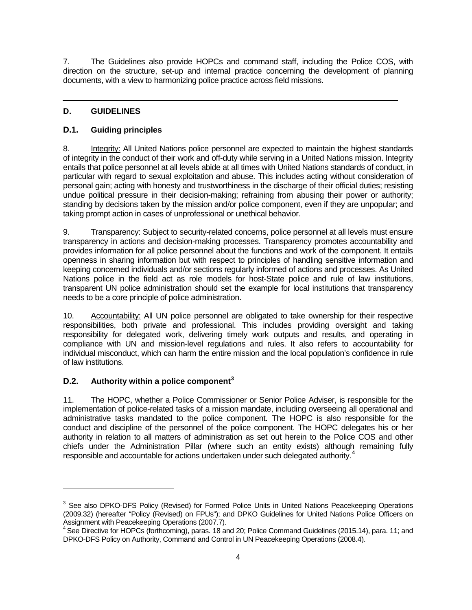7. The Guidelines also provide HOPCs and command staff, including the Police COS, with direction on the structure, set-up and internal practice concerning the development of planning documents, with a view to harmonizing police practice across field missions.

# **D. GUIDELINES**

# **D.1. Guiding principles**

8. Integrity: All United Nations police personnel are expected to maintain the highest standards of integrity in the conduct of their work and off-duty while serving in a United Nations mission. Integrity entails that police personnel at all levels abide at all times with United Nations standards of conduct, in particular with regard to sexual exploitation and abuse. This includes acting without consideration of personal gain; acting with honesty and trustworthiness in the discharge of their official duties; resisting undue political pressure in their decision-making; refraining from abusing their power or authority; standing by decisions taken by the mission and/or police component, even if they are unpopular; and taking prompt action in cases of unprofessional or unethical behavior.

9. Transparency: Subject to security-related concerns, police personnel at all levels must ensure transparency in actions and decision-making processes. Transparency promotes accountability and provides information for all police personnel about the functions and work of the component. It entails openness in sharing information but with respect to principles of handling sensitive information and keeping concerned individuals and/or sections regularly informed of actions and processes. As United Nations police in the field act as role models for host-State police and rule of law institutions, transparent UN police administration should set the example for local institutions that transparency needs to be a core principle of police administration.

10. Accountability: All UN police personnel are obligated to take ownership for their respective responsibilities, both private and professional. This includes providing oversight and taking responsibility for delegated work, delivering timely work outputs and results, and operating in compliance with UN and mission-level regulations and rules. It also refers to accountability for individual misconduct, which can harm the entire mission and the local population's confidence in rule of law institutions.

# **D.2. Authority within a police component[3](#page-2-1)**

-

<span id="page-3-1"></span>11. The HOPC, whether a Police Commissioner or Senior Police Adviser, is responsible for the implementation of police-related tasks of a mission mandate, including overseeing all operational and administrative tasks mandated to the police component. The HOPC is also responsible for the conduct and discipline of the personnel of the police component. The HOPC delegates his or her authority in relation to all matters of administration as set out herein to the Police COS and other chiefs under the Administration Pillar (where such an entity exists) although remaining fully responsible and accountable for actions undertaken under such delegated authority.<sup>[4](#page-3-0)</sup>

<sup>&</sup>lt;sup>3</sup> See also DPKO-DFS Policy (Revised) for Formed Police Units in United Nations Peacekeeping Operations (2009.32) (hereafter "Policy (Revised) on FPUs"); and DPKO Guidelines for United Nations Police Officers on<br>Assignment with Peacekeeping Operations (2007.7).

<span id="page-3-0"></span> $4$  See Directive for HOPCs (forthcoming), paras. 18 and 20; Polic[e Command](http://www.un.org/en/peacekeeping/sites/police/initiatives/guidelines-police-command.shtml) Guidelines (2015.14), para. 11; and DPKO-DFS Policy on Authority, Command and Control in UN Peacekeeping Operations (2008.4).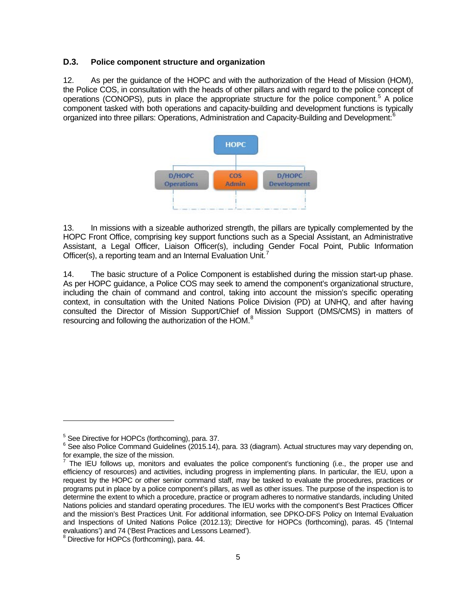### **D.3. Police component structure and organization**

12. As per the guidance of the HOPC and with the authorization of the Head of Mission (HOM), the Police COS, in consultation with the heads of other pillars and with regard to the police concept of operations (CONOPS), puts in place the appropriate structure for the police component.<sup>[5](#page-3-1)</sup> A police component tasked with both operations and capacity-building and development functions is typically organized into three pillars: Operations, Administration and Capacity-Building and Development:<sup>[6](#page-4-0)</sup>



13. In missions with a sizeable authorized strength, the pillars are typically complemented by the HOPC Front Office, comprising key support functions such as a Special Assistant, an Administrative Assistant, a Legal Officer, Liaison Officer(s), including Gender Focal Point, Public Information Officer(s), a reporting team and an Internal Evaluation Unit.<sup>[7](#page-4-1)</sup>

14. The basic structure of a Police Component is established during the mission start-up phase. As per HOPC guidance, a Police COS may seek to amend the component's organizational structure, including the chain of command and control, taking into account the mission's specific operating context, in consultation with the United Nations Police Division (PD) at UNHQ, and after having consulted the Director of Mission Support/Chief of Mission Support (DMS/CMS) in matters of resourcing and following the authorization of the HOM.<sup>[8](#page-4-2)</sup>

-

<span id="page-4-0"></span> $^5$  See Directive for HOPCs (forthcoming), para. 37.<br> $^6$  See also Police Command Guidelines (2015.14), para. 33 (diagram). Actual structures may vary depending on, for example, the size of the mission.

<span id="page-4-1"></span> $<sup>7</sup>$  The IEU follows up, monitors and evaluates the police component's functioning (i.e., the proper use and</sup> efficiency of resources) and activities, including progress in implementing plans. In particular, the IEU, upon a request by the HOPC or other senior command staff, may be tasked to evaluate the procedures, practices or programs put in place by a police component's pillars, as well as other issues. The purpose of the inspection is to determine the extent to which a procedure, practice or program adheres to normative standards, including United Nations policies and standard operating procedures. The IEU works with the component's Best Practices Officer and the mission's Best Practices Unit. For additional information, see DPKO-DFS Policy on Internal Evaluation and Inspections of United Nations Police (2012.13); Directive for HOPCs (forthcoming), paras. 45 ('Internal evaluations') and 74 ('Best Practices and Lessons Learned').<br><sup>8</sup> Directive for HOPCs (forthcoming), para. 44.

<span id="page-4-3"></span><span id="page-4-2"></span>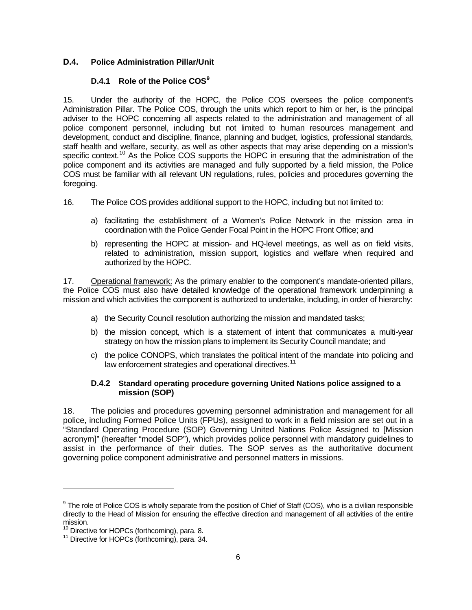# **D.4. Police Administration Pillar/Unit**

# **D.4.1 Role of the Police COS[9](#page-4-3)**

15. Under the authority of the HOPC, the Police COS oversees the police component's Administration Pillar. The Police COS, through the units which report to him or her, is the principal adviser to the HOPC concerning all aspects related to the administration and management of all police component personnel, including but not limited to human resources management and development, conduct and discipline, finance, planning and budget, logistics, professional standards, staff health and welfare, security, as well as other aspects that may arise depending on a mission's specific context.<sup>[10](#page-5-0)</sup> As the Police COS supports the HOPC in ensuring that the administration of the police component and its activities are managed and fully supported by a field mission, the Police COS must be familiar with all relevant UN regulations, rules, policies and procedures governing the foregoing.

- 16. The Police COS provides additional support to the HOPC, including but not limited to:
	- a) facilitating the establishment of a Women's Police Network in the mission area in coordination with the Police Gender Focal Point in the HOPC Front Office; and
	- b) representing the HOPC at mission- and HQ-level meetings, as well as on field visits, related to administration, mission support, logistics and welfare when required and authorized by the HOPC.

17. Operational framework: As the primary enabler to the component's mandate-oriented pillars, the Police COS must also have detailed knowledge of the operational framework underpinning a mission and which activities the component is authorized to undertake, including, in order of hierarchy:

- a) the Security Council resolution authorizing the mission and mandated tasks;
- b) the mission concept, which is a statement of intent that communicates a multi-year strategy on how the mission plans to implement its Security Council mandate; and
- c) the police CONOPS, which translates the political intent of the mandate into policing and law enforcement strategies and operational directives.<sup>[11](#page-5-1)</sup>

# **D.4.2 Standard operating procedure governing United Nations police assigned to a mission (SOP)**

18. The policies and procedures governing personnel administration and management for all police, including Formed Police Units (FPUs), assigned to work in a field mission are set out in a "Standard Operating Procedure (SOP) Governing United Nations Police Assigned to [Mission acronym]" (hereafter "model SOP"), which provides police personnel with mandatory guidelines to assist in the performance of their duties. The SOP serves as the authoritative document governing police component administrative and personnel matters in missions.

-

<sup>&</sup>lt;sup>9</sup> The role of Police COS is wholly separate from the position of Chief of Staff (COS), who is a civilian responsible directly to the Head of Mission for ensuring the effective direction and management of all activities of the entire mission.<br><sup>10</sup> Directive for HOPCs (forthcoming), para. 8.

<span id="page-5-0"></span>

<span id="page-5-1"></span> $11$  Directive for HOPCs (forthcoming), para. 34.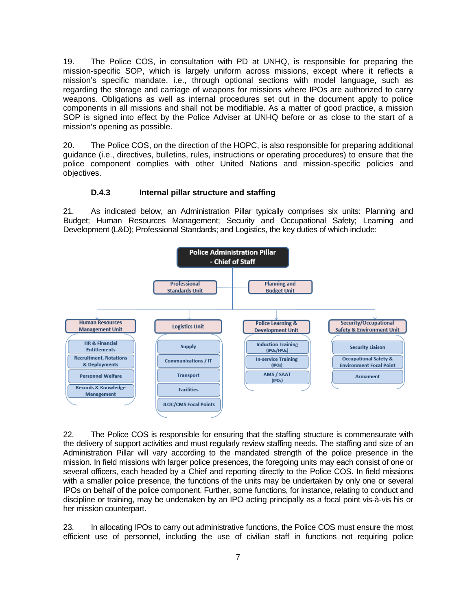19. The Police COS, in consultation with PD at UNHQ, is responsible for preparing the mission-specific SOP, which is largely uniform across missions, except where it reflects a mission's specific mandate, i.e., through optional sections with model language, such as regarding the storage and carriage of weapons for missions where IPOs are authorized to carry weapons. Obligations as well as internal procedures set out in the document apply to police components in all missions and shall not be modifiable. As a matter of good practice, a mission SOP is signed into effect by the Police Adviser at UNHQ before or as close to the start of a mission's opening as possible.

20. The Police COS, on the direction of the HOPC, is also responsible for preparing additional guidance (i.e., directives, bulletins, rules, instructions or operating procedures) to ensure that the police component complies with other United Nations and mission-specific policies and objectives.

### **D.4.3 Internal pillar structure and staffing**

21. As indicated below, an Administration Pillar typically comprises six units: Planning and Budget; Human Resources Management; Security and Occupational Safety; Learning and Development (L&D); Professional Standards; and Logistics, the key duties of which include:



22. The Police COS is responsible for ensuring that the staffing structure is commensurate with the delivery of support activities and must regularly review staffing needs. The staffing and size of an Administration Pillar will vary according to the mandated strength of the police presence in the mission. In field missions with larger police presences, the foregoing units may each consist of one or several officers, each headed by a Chief and reporting directly to the Police COS. In field missions with a smaller police presence, the functions of the units may be undertaken by only one or several IPOs on behalf of the police component. Further, some functions, for instance, relating to conduct and discipline or training, may be undertaken by an IPO acting principally as a focal point vis-à-vis his or her mission counterpart.

23. In allocating IPOs to carry out administrative functions, the Police COS must ensure the most efficient use of personnel, including the use of civilian staff in functions not requiring police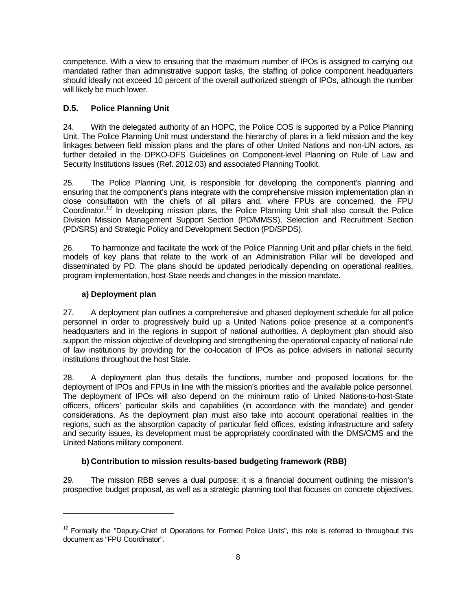competence. With a view to ensuring that the maximum number of IPOs is assigned to carrying out mandated rather than administrative support tasks, the staffing of police component headquarters should ideally not exceed 10 percent of the overall authorized strength of IPOs, although the number will likely be much lower.

# **D.5. Police Planning Unit**

24. With the delegated authority of an HOPC, the Police COS is supported by a Police Planning Unit. The Police Planning Unit must understand the hierarchy of plans in a field mission and the key linkages between field mission plans and the plans of other United Nations and non-UN actors, as further detailed in the DPKO-DFS Guidelines on Component-level Planning on Rule of Law and Security Institutions Issues (Ref. 2012.03) and associated Planning Toolkit.

25. The Police Planning Unit, is responsible for developing the component's planning and ensuring that the component's plans integrate with the comprehensive mission implementation plan in close consultation with the chiefs of all pillars and, where FPUs are concerned, the FPU Coordinator.<sup>[12](#page-5-0)</sup> In developing mission plans, the Police Planning Unit shall also consult the Police Division Mission Management Support Section (PD/MMSS), Selection and Recruitment Section (PD/SRS) and Strategic Policy and Development Section (PD/SPDS).

26. To harmonize and facilitate the work of the Police Planning Unit and pillar chiefs in the field, models of key plans that relate to the work of an Administration Pillar will be developed and disseminated by PD. The plans should be updated periodically depending on operational realities, program implementation, host-State needs and changes in the mission mandate.

# **a) Deployment plan**

<u>.</u>

27. A deployment plan outlines a comprehensive and phased deployment schedule for all police personnel in order to progressively build up a United Nations police presence at a component's headquarters and in the regions in support of national authorities. A deployment plan should also support the mission objective of developing and strengthening the operational capacity of national rule of law institutions by providing for the co-location of IPOs as police advisers in national security institutions throughout the host State.

28. A deployment plan thus details the functions, number and proposed locations for the deployment of IPOs and FPUs in line with the mission's priorities and the available police personnel. The deployment of IPOs will also depend on the minimum ratio of United Nations-to-host-State officers, officers' particular skills and capabilities (in accordance with the mandate) and gender considerations. As the deployment plan must also take into account operational realities in the regions, such as the absorption capacity of particular field offices, existing infrastructure and safety and security issues, its development must be appropriately coordinated with the DMS/CMS and the United Nations military component.

# **b) Contribution to mission results-based budgeting framework (RBB)**

<span id="page-7-0"></span>29. The mission RBB serves a dual purpose: it is a financial document outlining the mission's prospective budget proposal, as well as a strategic planning tool that focuses on concrete objectives,

 $12$  Formally the "Deputy-Chief of Operations for Formed Police Units", this role is referred to throughout this document as "FPU Coordinator".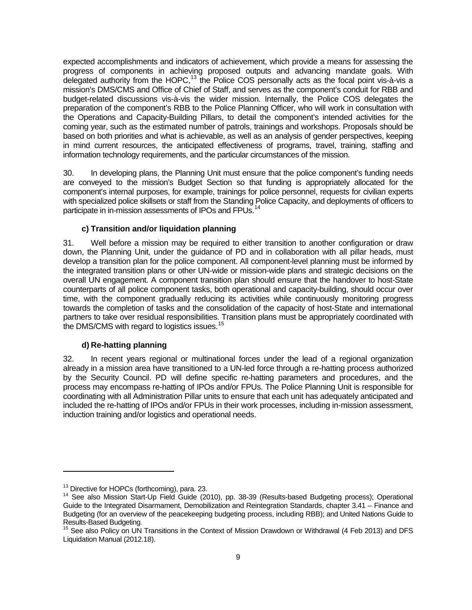expected accomplishments and indicators of achievement, which provide a means for assessing the progress of components in achieving proposed outputs and advancing mandate goals. With delegated authority from the HOPC,<sup>[13](#page-7-0)</sup> the Police COS personally acts as the focal point vis-à-vis a mission's DMS/CMS and Office of Chief of Staff, and serves as the component's conduit for RBB and budget-related discussions vis-à-vis the wider mission. Internally, the Police COS delegates the preparation of the component's RBB to the Police Planning Officer, who will work in consultation with the Operations and Capacity-Building Pillars, to detail the component's intended activities for the coming year, such as the estimated number of patrols, trainings and workshops. Proposals should be based on both priorities and what is achievable, as well as an analysis of gender perspectives, keeping in mind current resources, the anticipated effectiveness of programs, travel, training, staffing and information technology requirements, and the particular circumstances of the mission.

30. In developing plans, the Planning Unit must ensure that the police component's funding needs are conveyed to the mission's Budget Section so that funding is appropriately allocated for the component's internal purposes, for example, trainings for police personnel, requests for civilian experts with specialized police skillsets or staff from the Standing Police Capacity, and deployments of officers to participate in in-mission assessments of IPOs and FPUs.<sup>[14](#page-8-0)</sup>

# **c) Transition and/or liquidation planning**

31. Well before a mission may be required to either transition to another configuration or draw down, the Planning Unit, under the guidance of PD and in collaboration with all pillar heads, must develop a transition plan for the police component. All component-level planning must be informed by the integrated transition plans or other UN-wide or mission-wide plans and strategic decisions on the overall UN engagement. A component transition plan should ensure that the handover to host-State counterparts of all police component tasks, both operational and capacity-building, should occur over time, with the component gradually reducing its activities while continuously monitoring progress towards the completion of tasks and the consolidation of the capacity of host-State and international partners to take over residual responsibilities. Transition plans must be appropriately coordinated with the DMS/CMS with regard to logistics issues.<sup>[15](#page-8-1)</sup>

#### **d) Re-hatting planning**

32. In recent years regional or multinational forces under the lead of a regional organization already in a mission area have transitioned to a UN-led force through a re-hatting process authorized by the Security Council. PD will define specific re-hatting parameters and procedures, and the process may encompass re-hatting of IPOs and/or FPUs. The Police Planning Unit is responsible for coordinating with all Administration Pillar units to ensure that each unit has adequately anticipated and included the re-hatting of IPOs and/or FPUs in their work processes, including in-mission assessment, induction training and/or logistics and operational needs.

<span id="page-8-2"></span><u>.</u>

<span id="page-8-0"></span><sup>&</sup>lt;sup>13</sup> Directive for HOPCs (forthcoming), para. 23.<br><sup>14</sup> See also Mission Start-Up Field Guide (2010), pp. 38-39 (Results-based Budgeting process); Operational Guide to the Integrated Disarmament, Demobilization and Reintegration Standards, chapter 3.41 – Finance and Budgeting (for an overview of the peacekeeping budgeting process, including RBB); and United Nations Guide to Results-Based Budgeting.<br><sup>15</sup> See also Policy on UN Transitions in the Context of Mission Drawdown or Withdrawal (4 Feb 2013) and DFS

<span id="page-8-1"></span>Liquidation Manual (2012.18).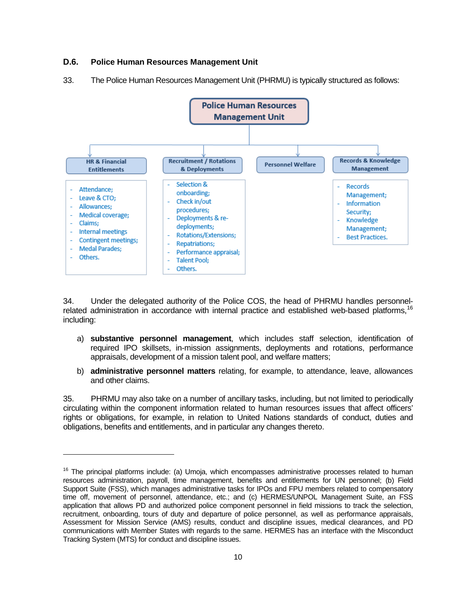## **D.6. Police Human Resources Management Unit**

<u>.</u>





34. Under the delegated authority of the Police COS, the head of PHRMU handles personnel-related administration in accordance with internal practice and established web-based platforms,<sup>[16](#page-8-2)</sup> including:

- a) **substantive personnel management**, which includes staff selection, identification of required IPO skillsets, in-mission assignments, deployments and rotations, performance appraisals, development of a mission talent pool, and welfare matters;
- b) **administrative personnel matters** relating, for example, to attendance, leave, allowances and other claims.

35. PHRMU may also take on a number of ancillary tasks, including, but not limited to periodically circulating within the component information related to human resources issues that affect officers' rights or obligations, for example, in relation to United Nations standards of conduct, duties and obligations, benefits and entitlements, and in particular any changes thereto.

<span id="page-9-0"></span> $16$  The principal platforms include: (a) Umoja, which encompasses administrative processes related to human resources administration, payroll, time management, benefits and entitlements for UN personnel; (b) Field Support Suite (FSS), which manages administrative tasks for IPOs and FPU members related to compensatory time off, movement of personnel, attendance, etc.; and (c) HERMES/UNPOL Management Suite, an FSS application that allows PD and authorized police component personnel in field missions to track the selection, recruitment, onboarding, tours of duty and departure of police personnel, as well as performance appraisals, Assessment for Mission Service (AMS) results, conduct and discipline issues, medical clearances, and PD communications with Member States with regards to the same. HERMES has an interface with the Misconduct Tracking System (MTS) for conduct and discipline issues.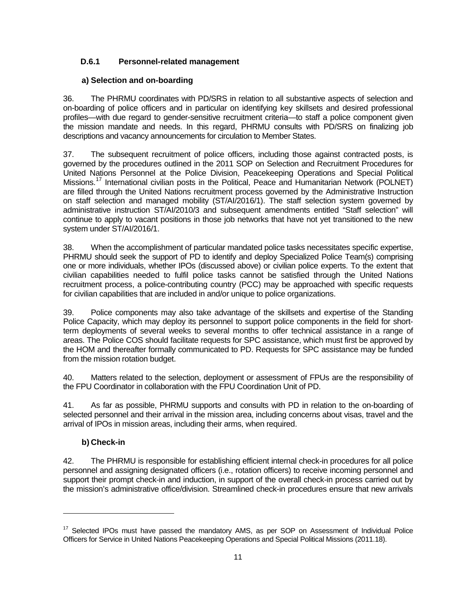# **D.6.1 Personnel-related management**

# **a) Selection and on-boarding**

36. The PHRMU coordinates with PD/SRS in relation to all substantive aspects of selection and on-boarding of police officers and in particular on identifying key skillsets and desired professional profiles—with due regard to gender-sensitive recruitment criteria—to staff a police component given the mission mandate and needs. In this regard, PHRMU consults with PD/SRS on finalizing job descriptions and vacancy announcements for circulation to Member States.

37. The subsequent recruitment of police officers, including those against contracted posts, is governed by the procedures outlined in the 2011 SOP on Selection and Recruitment Procedures for United Nations Personnel at the Police Division, Peacekeeping Operations and Special Political Missions.<sup>[17](#page-9-0)</sup> International civilian posts in the Political, Peace and Humanitarian Network (POLNET) are filled through the United Nations recruitment process governed by the Administrative Instruction on staff selection and managed mobility (ST/AI/2016/1). The staff selection system governed by administrative instruction ST/AI/2010/3 and subsequent amendments entitled "Staff selection" will continue to apply to vacant positions in those job networks that have not yet transitioned to the new system under ST/AI/2016/1.

38. When the accomplishment of particular mandated police tasks necessitates specific expertise, PHRMU should seek the support of PD to identify and deploy Specialized Police Team(s) comprising one or more individuals, whether IPOs (discussed above) or civilian police experts. To the extent that civilian capabilities needed to fulfil police tasks cannot be satisfied through the United Nations recruitment process, a police-contributing country (PCC) may be approached with specific requests for civilian capabilities that are included in and/or unique to police organizations.

39. Police components may also take advantage of the skillsets and expertise of the Standing Police Capacity, which may deploy its personnel to support police components in the field for shortterm deployments of several weeks to several months to offer technical assistance in a range of areas. The Police COS should facilitate requests for SPC assistance, which must first be approved by the HOM and thereafter formally communicated to PD. Requests for SPC assistance may be funded from the mission rotation budget.

40. Matters related to the selection, deployment or assessment of FPUs are the responsibility of the FPU Coordinator in collaboration with the FPU Coordination Unit of PD.

41. As far as possible, PHRMU supports and consults with PD in relation to the on-boarding of selected personnel and their arrival in the mission area, including concerns about visas, travel and the arrival of IPOs in mission areas, including their arms, when required.

# **b) Check-in**

<u>.</u>

42. The PHRMU is responsible for establishing efficient internal check-in procedures for all police personnel and assigning designated officers (i.e., rotation officers) to receive incoming personnel and support their prompt check-in and induction, in support of the overall check-in process carried out by the mission's administrative office/division. Streamlined check-in procedures ensure that new arrivals

<span id="page-10-0"></span><sup>&</sup>lt;sup>17</sup> Selected IPOs must have passed the mandatory AMS, as per SOP on Assessment of Individual Police Officers for Service in United Nations Peacekeeping Operations and Special Political Missions (2011.18).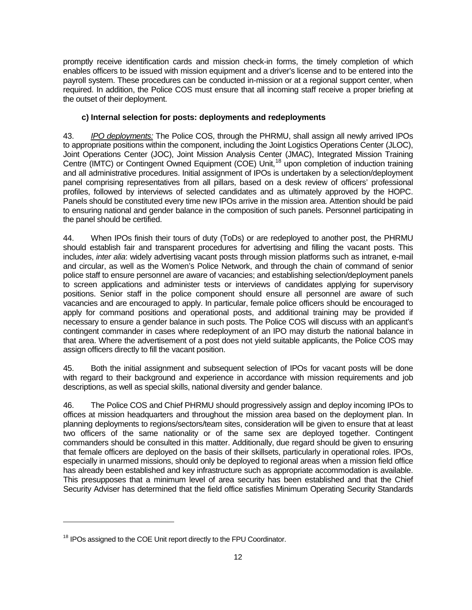promptly receive identification cards and mission check-in forms, the timely completion of which enables officers to be issued with mission equipment and a driver's license and to be entered into the payroll system. These procedures can be conducted in-mission or at a regional support center, when required. In addition, the Police COS must ensure that all incoming staff receive a proper briefing at the outset of their deployment.

#### **c) Internal selection for posts: deployments and redeployments**

43. *IPO deployments:* The Police COS, through the PHRMU, shall assign all newly arrived IPOs to appropriate positions within the component, including the Joint Logistics Operations Center (JLOC), Joint Operations Center (JOC), Joint Mission Analysis Center (JMAC), Integrated Mission Training Centre (IMTC) or Contingent Owned Equipment (COE) Unit,<sup>[18](#page-10-0)</sup> upon completion of induction training and all administrative procedures. Initial assignment of IPOs is undertaken by a selection/deployment panel comprising representatives from all pillars, based on a desk review of officers' professional profiles, followed by interviews of selected candidates and as ultimately approved by the HOPC. Panels should be constituted every time new IPOs arrive in the mission area. Attention should be paid to ensuring national and gender balance in the composition of such panels. Personnel participating in the panel should be certified.

44. When IPOs finish their tours of duty (ToDs) or are redeployed to another post, the PHRMU should establish fair and transparent procedures for advertising and filling the vacant posts. This includes, *inter alia*: widely advertising vacant posts through mission platforms such as intranet, e-mail and circular, as well as the Women's Police Network, and through the chain of command of senior police staff to ensure personnel are aware of vacancies; and establishing selection/deployment panels to screen applications and administer tests or interviews of candidates applying for supervisory positions. Senior staff in the police component should ensure all personnel are aware of such vacancies and are encouraged to apply. In particular, female police officers should be encouraged to apply for command positions and operational posts, and additional training may be provided if necessary to ensure a gender balance in such posts. The Police COS will discuss with an applicant's contingent commander in cases where redeployment of an IPO may disturb the national balance in that area. Where the advertisement of a post does not yield suitable applicants, the Police COS may assign officers directly to fill the vacant position.

45. Both the initial assignment and subsequent selection of IPOs for vacant posts will be done with regard to their background and experience in accordance with mission requirements and job descriptions, as well as special skills, national diversity and gender balance.

46. The Police COS and Chief PHRMU should progressively assign and deploy incoming IPOs to offices at mission headquarters and throughout the mission area based on the deployment plan. In planning deployments to regions/sectors/team sites, consideration will be given to ensure that at least two officers of the same nationality or of the same sex are deployed together. Contingent commanders should be consulted in this matter. Additionally, due regard should be given to ensuring that female officers are deployed on the basis of their skillsets, particularly in operational roles. IPOs, especially in unarmed missions, should only be deployed to regional areas when a mission field office has already been established and key infrastructure such as appropriate accommodation is available. This presupposes that a minimum level of area security has been established and that the Chief Security Adviser has determined that the field office satisfies Minimum Operating Security Standards

<u>.</u>

<span id="page-11-0"></span><sup>&</sup>lt;sup>18</sup> IPOs assigned to the COE Unit report directly to the FPU Coordinator.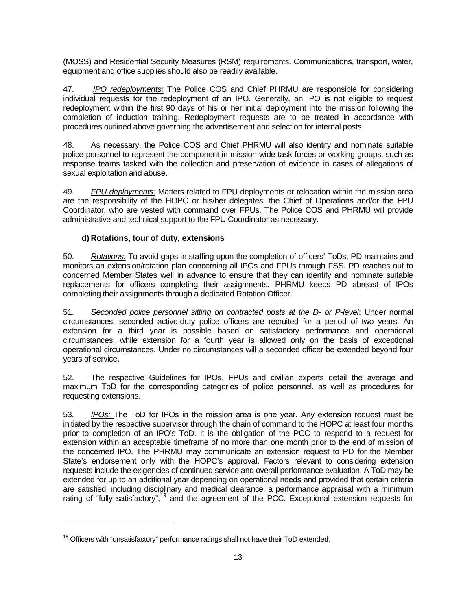(MOSS) and Residential Security Measures (RSM) requirements. Communications, transport, water, equipment and office supplies should also be readily available.

47. *IPO redeployments:* The Police COS and Chief PHRMU are responsible for considering individual requests for the redeployment of an IPO. Generally, an IPO is not eligible to request redeployment within the first 90 days of his or her initial deployment into the mission following the completion of induction training. Redeployment requests are to be treated in accordance with procedures outlined above governing the advertisement and selection for internal posts.

48. As necessary, the Police COS and Chief PHRMU will also identify and nominate suitable police personnel to represent the component in mission-wide task forces or working groups, such as response teams tasked with the collection and preservation of evidence in cases of allegations of sexual exploitation and abuse.

49. *FPU deployments:* Matters related to FPU deployments or relocation within the mission area are the responsibility of the HOPC or his/her delegates, the Chief of Operations and/or the FPU Coordinator, who are vested with command over FPUs. The Police COS and PHRMU will provide administrative and technical support to the FPU Coordinator as necessary.

#### **d) Rotations, tour of duty, extensions**

50. *Rotations:* To avoid gaps in staffing upon the completion of officers' ToDs, PD maintains and monitors an extension/rotation plan concerning all IPOs and FPUs through FSS. PD reaches out to concerned Member States well in advance to ensure that they can identify and nominate suitable replacements for officers completing their assignments. PHRMU keeps PD abreast of IPOs completing their assignments through a dedicated Rotation Officer.

51. *Seconded police personnel sitting on contracted posts at the D- or P-level*: Under normal circumstances, seconded active-duty police officers are recruited for a period of two years. An extension for a third year is possible based on satisfactory performance and operational circumstances, while extension for a fourth year is allowed only on the basis of exceptional operational circumstances. Under no circumstances will a seconded officer be extended beyond four years of service.

52. The respective Guidelines for IPOs, FPUs and civilian experts detail the average and maximum ToD for the corresponding categories of police personnel, as well as procedures for requesting extensions.

<span id="page-12-0"></span>53. *IPOs:* The ToD for IPOs in the mission area is one year. Any extension request must be initiated by the respective supervisor through the chain of command to the HOPC at least four months prior to completion of an IPO's ToD. It is the obligation of the PCC to respond to a request for extension within an acceptable timeframe of no more than one month prior to the end of mission of the concerned IPO. The PHRMU may communicate an extension request to PD for the Member State's endorsement only with the HOPC's approval. Factors relevant to considering extension requests include the exigencies of continued service and overall performance evaluation. A ToD may be extended for up to an additional year depending on operational needs and provided that certain criteria are satisfied, including disciplinary and medical clearance, a performance appraisal with a minimum rating of "fully satisfactory",<sup>[19](#page-11-0)</sup> and the agreement of the PCC. Exceptional extension requests for

<u>.</u>

 $19$  Officers with "unsatisfactory" performance ratings shall not have their ToD extended.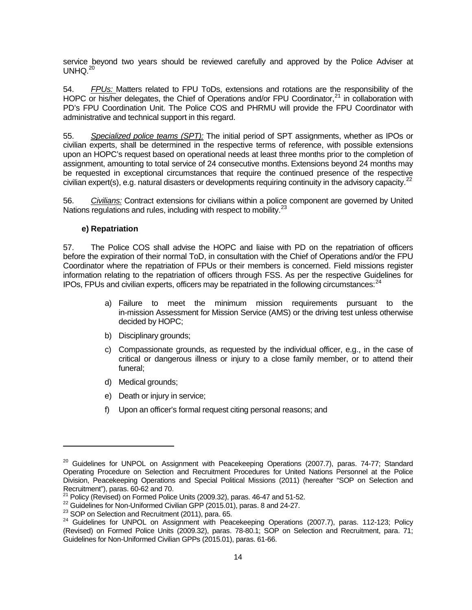service beyond two years should be reviewed carefully and approved by the Police Adviser at UNHQ.<sup>[20](#page-12-0)</sup>

54. *FPUs:* Matters related to FPU ToDs, extensions and rotations are the responsibility of the HOPC or his/her delegates, the Chief of Operations and/or FPU Coordinator, $^{21}$  $^{21}$  $^{21}$  in collaboration with PD's FPU Coordination Unit. The Police COS and PHRMU will provide the FPU Coordinator with administrative and technical support in this regard.

55. *Specialized police teams (SPT):* The initial period of SPT assignments, whether as IPOs or civilian experts, shall be determined in the respective terms of reference, with possible extensions upon an HOPC's request based on operational needs at least three months prior to the completion of assignment, amounting to total service of 24 consecutive months. Extensions beyond 24 months may be requested in exceptional circumstances that require the continued presence of the respective civilian expert(s), e.g. natural disasters or developments requiring continuity in the advisory capacity.<sup>[22](#page-13-1)</sup>

56. *Civilians:* Contract extensions for civilians within a police component are governed by United Nations regulations and rules, including with respect to mobility.<sup>[23](#page-13-2)</sup>

#### **e) Repatriation**

-

57. The Police COS shall advise the HOPC and liaise with PD on the repatriation of officers before the expiration of their normal ToD, in consultation with the Chief of Operations and/or the FPU Coordinator where the repatriation of FPUs or their members is concerned. Field missions register information relating to the repatriation of officers through FSS. As per the respective Guidelines for IPOs, FPUs and civilian experts, officers may be repatriated in the following circumstances:  $24$ 

- a) Failure to meet the minimum mission requirements pursuant to the in-mission Assessment for Mission Service (AMS) or the driving test unless otherwise decided by HOPC;
- b) Disciplinary grounds;
- c) Compassionate grounds, as requested by the individual officer, e.g., in the case of critical or dangerous illness or injury to a close family member, or to attend their funeral;
- d) Medical grounds;
- e) Death or injury in service;
- f) Upon an officer's formal request citing personal reasons; and

 $20$  Guidelines for UNPOL on Assignment with Peacekeeping Operations (2007.7), paras. 74-77; Standard Operating Procedure on Selection and Recruitment Procedures for United Nations Personnel at the Police Division, Peacekeeping Operations and Special Political Missions (2011) (hereafter "SOP on Selection and Recruitment"), paras. 60-62 and 70.

<span id="page-13-0"></span>

<span id="page-13-1"></span>

<span id="page-13-3"></span><span id="page-13-2"></span>

<sup>&</sup>lt;sup>21</sup> Policy (Revised) on Formed Police Units (2009.32), paras. 46-47 and 51-52.<br><sup>22</sup> Guidelines for Non-Uniformed Civilian GPP (2015.01), paras. 8 and 24-27.<br><sup>23</sup> SOP on Selection and Recruitment (2011), para. 65.<br><sup>24</sup> Gu (Revised) on Formed Police Units (2009.32), paras. 78-80.1; SOP on Selection and Recruitment, para. 71; Guidelines for Non-Uniformed Civilian GPPs (2015.01), paras. 61-66.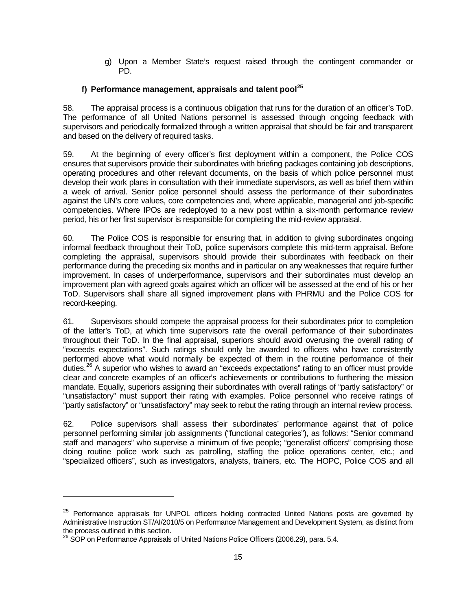g) Upon a Member State's request raised through the contingent commander or PD.

# **f) Performance management, appraisals and talent pool[25](#page-13-2)**

58. The appraisal process is a continuous obligation that runs for the duration of an officer's ToD. The performance of all United Nations personnel is assessed through ongoing feedback with supervisors and periodically formalized through a written appraisal that should be fair and transparent and based on the delivery of required tasks.

59. At the beginning of every officer's first deployment within a component, the Police COS ensures that supervisors provide their subordinates with briefing packages containing job descriptions, operating procedures and other relevant documents, on the basis of which police personnel must develop their work plans in consultation with their immediate supervisors, as well as brief them within a week of arrival. Senior police personnel should assess the performance of their subordinates against the UN's core values, core competencies and, where applicable, managerial and job-specific competencies. Where IPOs are redeployed to a new post within a six-month performance review period, his or her first supervisor is responsible for completing the mid-review appraisal.

60. The Police COS is responsible for ensuring that, in addition to giving subordinates ongoing informal feedback throughout their ToD, police supervisors complete this mid-term appraisal. Before completing the appraisal, supervisors should provide their subordinates with feedback on their performance during the preceding six months and in particular on any weaknesses that require further improvement. In cases of underperformance, supervisors and their subordinates must develop an improvement plan with agreed goals against which an officer will be assessed at the end of his or her ToD. Supervisors shall share all signed improvement plans with PHRMU and the Police COS for record-keeping.

61. Supervisors should compete the appraisal process for their subordinates prior to completion of the latter's ToD, at which time supervisors rate the overall performance of their subordinates throughout their ToD. In the final appraisal, superiors should avoid overusing the overall rating of "exceeds expectations". Such ratings should only be awarded to officers who have consistently performed above what would normally be expected of them in the routine performance of their duties.<sup>[26](#page-14-0)</sup> A superior who wishes to award an "exceeds expectations" rating to an officer must provide clear and concrete examples of an officer's achievements or contributions to furthering the mission mandate. Equally, superiors assigning their subordinates with overall ratings of "partly satisfactory" or "unsatisfactory" must support their rating with examples. Police personnel who receive ratings of "partly satisfactory" or "unsatisfactory" may seek to rebut the rating through an internal review process.

62. Police supervisors shall assess their subordinates' performance against that of police personnel performing similar job assignments ("functional categories"), as follows: "Senior command staff and managers" who supervise a minimum of five people; "generalist officers" comprising those doing routine police work such as patrolling, staffing the police operations center, etc.; and "specialized officers", such as investigators, analysts, trainers, etc. The HOPC, Police COS and all

<span id="page-14-1"></span><u>.</u>

<sup>&</sup>lt;sup>25</sup> Performance appraisals for UNPOL officers holding contracted United Nations posts are governed by Administrative Instruction ST/AI/2010/5 on Performance Management and Development System, as distinct from the process outlined in this section.

<span id="page-14-0"></span><sup>&</sup>lt;sup>26</sup> SOP on Performance Appraisals of United Nations Police Officers (2006.29), para. 5.4.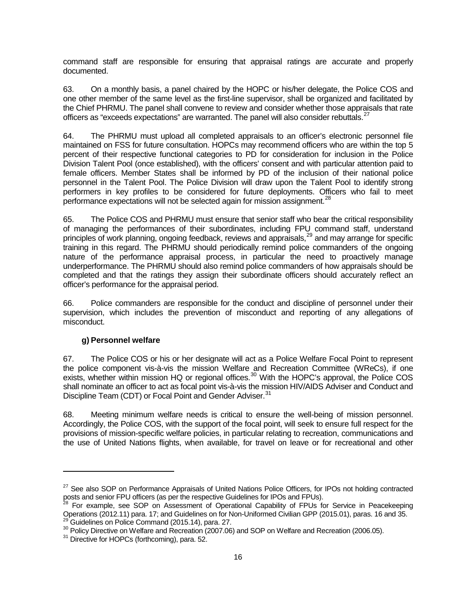command staff are responsible for ensuring that appraisal ratings are accurate and properly documented.

63. On a monthly basis, a panel chaired by the HOPC or his/her delegate, the Police COS and one other member of the same level as the first-line supervisor, shall be organized and facilitated by the Chief PHRMU. The panel shall convene to review and consider whether those appraisals that rate officers as "exceeds expectations" are warranted. The panel will also consider rebuttals.<sup>[27](#page-14-1)</sup>

64. The PHRMU must upload all completed appraisals to an officer's electronic personnel file maintained on FSS for future consultation. HOPCs may recommend officers who are within the top 5 percent of their respective functional categories to PD for consideration for inclusion in the Police Division Talent Pool (once established), with the officers' consent and with particular attention paid to female officers. Member States shall be informed by PD of the inclusion of their national police personnel in the Talent Pool. The Police Division will draw upon the Talent Pool to identify strong performers in key profiles to be considered for future deployments. Officers who fail to meet performance expectations will not be selected again for mission assignment.<sup>[28](#page-15-0)</sup>

65. The Police COS and PHRMU must ensure that senior staff who bear the critical responsibility of managing the performances of their subordinates, including FPU command staff, understand principles of work planning, ongoing feedback, reviews and appraisals, <sup>[29](#page-15-1)</sup> and may arrange for specific training in this regard. The PHRMU should periodically remind police commanders of the ongoing nature of the performance appraisal process, in particular the need to proactively manage underperformance. The PHRMU should also remind police commanders of how appraisals should be completed and that the ratings they assign their subordinate officers should accurately reflect an officer's performance for the appraisal period.

66. Police commanders are responsible for the conduct and discipline of personnel under their supervision, which includes the prevention of misconduct and reporting of any allegations of misconduct.

#### **g) Personnel welfare**

<span id="page-15-4"></span><u>.</u>

67. The Police COS or his or her designate will act as a Police Welfare Focal Point to represent the police component vis-à-vis the mission Welfare and Recreation Committee (WReCs), if one exists, whether within mission HQ or regional offices.<sup>[30](#page-15-2)</sup> With the HOPC's approval, the Police COS shall nominate an officer to act as focal point vis-à-vis the mission HIV/AIDS Adviser and Conduct and Discipline Team (CDT) or Focal Point and Gender Adviser.<sup>[31](#page-15-3)</sup>

68. Meeting minimum welfare needs is critical to ensure the well-being of mission personnel. Accordingly, the Police COS, with the support of the focal point, will seek to ensure full respect for the provisions of mission-specific welfare policies, in particular relating to recreation, communications and the use of United Nations flights, when available, for travel on leave or for recreational and other

<sup>&</sup>lt;sup>27</sup> See also SOP on Performance Appraisals of United Nations Police Officers, for IPOs not holding contracted

<span id="page-15-0"></span>posts and senior FPU officers (as per the respective Guidelines for IPOs and FPUs).<br><sup>28</sup> For example, see SOP on Assessment of Operational Capability of FPUs for Service in Peacekeeping<br>Operations (2012.11) para. 17; and G

<span id="page-15-2"></span><span id="page-15-1"></span><sup>&</sup>lt;sup>29</sup> Guidelines on Police Command (2015.14), para. 27.<br><sup>30</sup> Policy Directive on Welfare and Recreation (2007.06) and SOP on Welfare and Recreation (2006.05).<br><sup>31</sup> Directive for HOPCs (forthcoming), para. 52.

<span id="page-15-3"></span>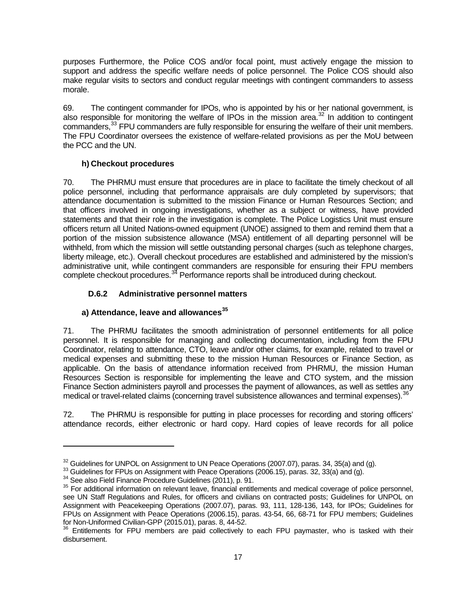purposes Furthermore, the Police COS and/or focal point, must actively engage the mission to support and address the specific welfare needs of police personnel. The Police COS should also make regular visits to sectors and conduct regular meetings with contingent commanders to assess morale.

69. The contingent commander for IPOs, who is appointed by his or her national government, is also responsible for monitoring the welfare of IPOs in the mission area.<sup>[32](#page-15-4)</sup> In addition to contingent commanders,<sup>[33](#page-16-0)</sup> FPU commanders are fully responsible for ensuring the welfare of their unit members. The FPU Coordinator oversees the existence of welfare-related provisions as per the MoU between the PCC and the UN.

#### **h) Checkout procedures**

70. The PHRMU must ensure that procedures are in place to facilitate the timely checkout of all police personnel, including that performance appraisals are duly completed by supervisors; that attendance documentation is submitted to the mission Finance or Human Resources Section; and that officers involved in ongoing investigations, whether as a subject or witness, have provided statements and that their role in the investigation is complete. The Police Logistics Unit must ensure officers return all United Nations-owned equipment (UNOE) assigned to them and remind them that a portion of the mission subsistence allowance (MSA) entitlement of all departing personnel will be withheld, from which the mission will settle outstanding personal charges (such as telephone charges, liberty mileage, etc.). Overall checkout procedures are established and administered by the mission's administrative unit, while contingent commanders are responsible for ensuring their FPU members complete checkout procedures.<sup>[34](#page-16-1)</sup> Performance reports shall be introduced during checkout.

#### **D.6.2 Administrative personnel matters**

## **a) Attendance, leave and allowances[35](#page-16-2)**

71. The PHRMU facilitates the smooth administration of personnel entitlements for all police personnel. It is responsible for managing and collecting documentation, including from the FPU Coordinator, relating to attendance, CTO, leave and/or other claims, for example, related to travel or medical expenses and submitting these to the mission Human Resources or Finance Section, as applicable. On the basis of attendance information received from PHRMU, the mission Human Resources Section is responsible for implementing the leave and CTO system, and the mission Finance Section administers payroll and processes the payment of allowances, as well as settles any medical or travel-related claims (concerning travel subsistence allowances and terminal expenses). <sup>[36](#page-16-3)</sup>

72. The PHRMU is responsible for putting in place processes for recording and storing officers' attendance records, either electronic or hard copy. Hard copies of leave records for all police

-

<span id="page-16-0"></span>

<span id="page-16-2"></span><span id="page-16-1"></span>

<sup>&</sup>lt;sup>32</sup> Guidelines for UNPOL on Assignment to UN Peace Operations (2007.07), paras. 34, 35(a) and (g).<br><sup>33</sup> Guidelines for FPUs on Assignment with Peace Operations (2006.15), paras. 32, 33(a) and (g).<br><sup>34</sup> See also Field Fin see UN Staff Regulations and Rules, for officers and civilians on contracted posts; Guidelines for UNPOL on Assignment with Peacekeeping Operations (2007.07), paras. 93, 111, 128-136, 143, for IPOs; Guidelines for FPUs on Assignment with Peace Operations (2006.15), paras. 43-54, 66, 68-71 for FPU members; Guidelines for Non-Uniformed Civilian-GPP (2015.01), paras. 8, 44-52.<br><sup>36</sup> Entitlements for FPU members are paid collectively to each FPU paymaster, who is tasked with their

<span id="page-16-4"></span><span id="page-16-3"></span>disbursement.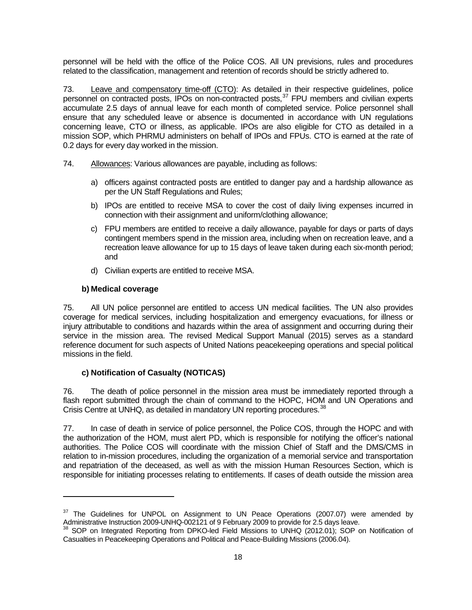personnel will be held with the office of the Police COS. All UN previsions, rules and procedures related to the classification, management and retention of records should be strictly adhered to.

73. Leave and compensatory time-off (CTO): As detailed in their respective guidelines, police personnel on contracted posts, IPOs on non-contracted posts,<sup>[37](#page-16-4)</sup> FPU members and civilian experts accumulate 2.5 days of annual leave for each month of completed service. Police personnel shall ensure that any scheduled leave or absence is documented in accordance with UN regulations concerning leave, CTO or illness, as applicable. IPOs are also eligible for CTO as detailed in a mission SOP, which PHRMU administers on behalf of IPOs and FPUs. CTO is earned at the rate of 0.2 days for every day worked in the mission.

- 74. Allowances: Various allowances are payable, including as follows:
	- a) officers against contracted posts are entitled to danger pay and a hardship allowance as per the UN Staff Regulations and Rules;
	- b) IPOs are entitled to receive MSA to cover the cost of daily living expenses incurred in connection with their assignment and uniform/clothing allowance;
	- c) FPU members are entitled to receive a daily allowance, payable for days or parts of days contingent members spend in the mission area, including when on recreation leave, and a recreation leave allowance for up to 15 days of leave taken during each six-month period; and
	- d) Civilian experts are entitled to receive MSA.

#### **b) Medical coverage**

-

75. All UN police personnel are entitled to access UN medical facilities. The UN also provides coverage for medical services, including hospitalization and emergency evacuations, for illness or injury attributable to conditions and hazards within the area of assignment and occurring during their service in the mission area. The revised Medical Support Manual (2015) serves as a standard reference document for such aspects of United Nations peacekeeping operations and special political missions in the field.

# **c) Notification of Casualty (NOTICAS)**

76. The death of police personnel in the mission area must be immediately reported through a flash report submitted through the chain of command to the HOPC. HOM and UN Operations and Crisis Centre at UNHQ, as detailed in mandatory UN reporting procedures.<sup>[38](#page-17-0)</sup>

77. In case of death in service of police personnel, the Police COS, through the HOPC and with the authorization of the HOM, must alert PD, which is responsible for notifying the officer's national authorities. The Police COS will coordinate with the mission Chief of Staff and the DMS/CMS in relation to in-mission procedures, including the organization of a memorial service and transportation and repatriation of the deceased, as well as with the mission Human Resources Section, which is responsible for initiating processes relating to entitlements. If cases of death outside the mission area

<span id="page-17-1"></span> $37$  The Guidelines for UNPOL on Assignment to UN Peace Operations (2007.07) were amended by Administrative Instruction 2009-UNHQ-002121 of 9 February 2009 to provide for 2.5 days leave.

<span id="page-17-0"></span><sup>&</sup>lt;sup>38</sup> SOP on Integrated Reporting from DPKO-led Field Missions to UNHQ (2012.01); SOP on Notification of Casualties in Peacekeeping Operations and Political and Peace-Building Missions (2006.04).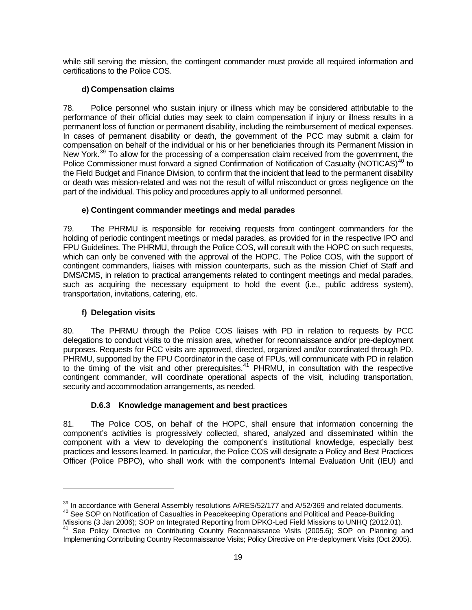while still serving the mission, the contingent commander must provide all required information and certifications to the Police COS.

#### **d) Compensation claims**

78. Police personnel who sustain injury or illness which may be considered attributable to the performance of their official duties may seek to claim compensation if injury or illness results in a permanent loss of function or permanent disability, including the reimbursement of medical expenses. In cases of permanent disability or death, the government of the PCC may submit a claim for compensation on behalf of the individual or his or her beneficiaries through its Permanent Mission in New York.<sup>[39](#page-17-1)</sup> To allow for the processing of a compensation claim received from the government, the Police Commissioner must forward a signed Confirmation of Notification of Casualty (NOTICAS)<sup>[40](#page-18-0)</sup> to the Field Budget and Finance Division, to confirm that the incident that lead to the permanent disability or death was mission-related and was not the result of wilful misconduct or gross negligence on the part of the individual. This policy and procedures apply to all uniformed personnel.

#### **e) Contingent commander meetings and medal parades**

79. The PHRMU is responsible for receiving requests from contingent commanders for the holding of periodic contingent meetings or medal parades, as provided for in the respective IPO and FPU Guidelines. The PHRMU, through the Police COS, will consult with the HOPC on such requests, which can only be convened with the approval of the HOPC. The Police COS, with the support of contingent commanders, liaises with mission counterparts, such as the mission Chief of Staff and DMS/CMS, in relation to practical arrangements related to contingent meetings and medal parades, such as acquiring the necessary equipment to hold the event (i.e., public address system). transportation, invitations, catering, etc.

#### **f) Delegation visits**

-

80. The PHRMU through the Police COS liaises with PD in relation to requests by PCC delegations to conduct visits to the mission area, whether for reconnaissance and/or pre-deployment purposes. Requests for PCC visits are approved, directed, organized and/or coordinated through PD. PHRMU, supported by the FPU Coordinator in the case of FPUs, will communicate with PD in relation to the timing of the visit and other prerequisites.<sup>[41](#page-18-1)</sup> PHRMU, in consultation with the respective contingent commander, will coordinate operational aspects of the visit, including transportation, security and accommodation arrangements, as needed.

#### **D.6.3 Knowledge management and best practices**

81. The Police COS, on behalf of the HOPC, shall ensure that information concerning the component's activities is progressively collected, shared, analyzed and disseminated within the component with a view to developing the component's institutional knowledge, especially best practices and lessons learned. In particular, the Police COS will designate a Policy and Best Practices Officer (Police PBPO), who shall work with the component's Internal Evaluation Unit (IEU) and

<span id="page-18-2"></span><span id="page-18-0"></span>

<sup>&</sup>lt;sup>39</sup> In accordance with General Assembly resolutions A/RES/52/177 and A/52/369 and related documents.<br><sup>40</sup> See SOP on Notification of Casualties in Peacekeeping Operations and Political and Peace-Building<br>Missions (3 Jan

<span id="page-18-1"></span><sup>&</sup>lt;sup>41</sup> See Policy Directive on Contributing Country Reconnaissance Visits (2005.6); SOP on Planning and Implementing Contributing Country Reconnaissance Visits; Policy Directive on Pre-deployment Visits (Oct 2005).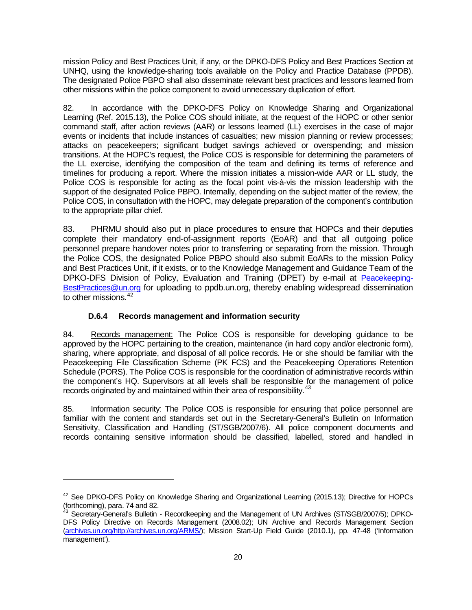mission Policy and Best Practices Unit, if any, or the DPKO-DFS Policy and Best Practices Section at UNHQ, using the knowledge-sharing tools available on the Policy and Practice Database (PPDB). The designated Police PBPO shall also disseminate relevant best practices and lessons learned from other missions within the police component to avoid unnecessary duplication of effort.

82. In accordance with the DPKO-DFS Policy on Knowledge Sharing and Organizational Learning (Ref. 2015.13), the Police COS should initiate, at the request of the HOPC or other senior command staff, after action reviews (AAR) or lessons learned (LL) exercises in the case of major events or incidents that include instances of casualties; new mission planning or review processes; attacks on peacekeepers; significant budget savings achieved or overspending; and mission transitions. At the HOPC's request, the Police COS is responsible for determining the parameters of the LL exercise, identifying the composition of the team and defining its terms of reference and timelines for producing a report. Where the mission initiates a mission-wide AAR or LL study, the Police COS is responsible for acting as the focal point vis-à-vis the mission leadership with the support of the designated Police PBPO. Internally, depending on the subject matter of the review, the Police COS, in consultation with the HOPC, may delegate preparation of the component's contribution to the appropriate pillar chief.

83. PHRMU should also put in place procedures to ensure that HOPCs and their deputies complete their mandatory end-of-assignment reports (EoAR) and that all outgoing police personnel prepare handover notes prior to transferring or separating from the mission. Through the Police COS, the designated Police PBPO should also submit EoARs to the mission Policy and Best Practices Unit, if it exists, or to the Knowledge Management and Guidance Team of the DPKO-DFS Division of Policy, Evaluation and Training (DPET) by e-mail at [Peacekeeping-](mailto:Peacekeeping-BestPractices@un.org)[BestPractices@un.org](mailto:Peacekeeping-BestPractices@un.org) for uploading to ppdb.un.org, thereby enabling widespread dissemination to other missions.<sup>[42](#page-18-2)</sup>

# **D.6.4 Records management and information security**

-

84. Records management: The Police COS is responsible for developing guidance to be approved by the HOPC pertaining to the creation, maintenance (in hard copy and/or electronic form), sharing, where appropriate, and disposal of all police records. He or she should be familiar with the Peacekeeping File Classification Scheme (PK FCS) and the Peacekeeping Operations Retention Schedule (PORS). The Police COS is responsible for the coordination of administrative records within the component's HQ. Supervisors at all levels shall be responsible for the management of police records originated by and maintained within their area of responsibility.<sup>[43](#page-19-0)</sup>

85. Information security: The Police COS is responsible for ensuring that police personnel are familiar with the content and standards set out in the Secretary-General's Bulletin on Information Sensitivity, Classification and Handling (ST/SGB/2007/6). All police component documents and records containing sensitive information should be classified, labelled, stored and handled in

 $42$  See DPKO-DFS Policy on Knowledge Sharing and Organizational Learning (2015.13); Directive for HOPCs (forthcoming), para. 74 and 82.

<span id="page-19-0"></span>Secretary-General's Bulletin - Recordkeeping and the Management of UN Archives (ST/SGB/2007/5); DPKO-DFS Policy Directive on Records Management (2008.02); UN Archive and Records Management Section [\(archives.un.org/http://archives.un.org/ARMS/\)](https://archives.un.org/); Mission Start-Up Field Guide (2010.1), pp. 47-48 ('Information management').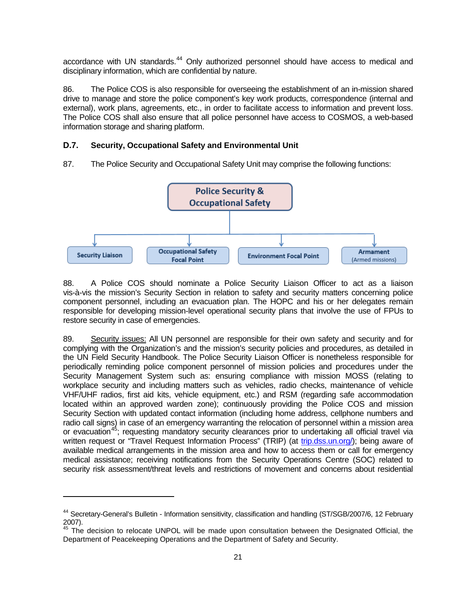accordance with UN standards.<sup>[44](#page-19-0)</sup> Only authorized personnel should have access to medical and disciplinary information, which are confidential by nature.

86. The Police COS is also responsible for overseeing the establishment of an in-mission shared drive to manage and store the police component's key work products, correspondence (internal and external), work plans, agreements, etc., in order to facilitate access to information and prevent loss. The Police COS shall also ensure that all police personnel have access to COSMOS, a web-based information storage and sharing platform.

# **D.7. Security, Occupational Safety and Environmental Unit**

restore security in case of emergencies.

<span id="page-20-1"></span>-



87. The Police Security and Occupational Safety Unit may comprise the following functions:

88. A Police COS should nominate a Police Security Liaison Officer to act as a liaison vis-à-vis the mission's Security Section in relation to safety and security matters concerning police component personnel, including an evacuation plan. The HOPC and his or her delegates remain responsible for developing mission-level operational security plans that involve the use of FPUs to

89. Security issues: All UN personnel are responsible for their own safety and security and for complying with the Organization's and the mission's security policies and procedures, as detailed in the UN Field Security Handbook. The Police Security Liaison Officer is nonetheless responsible for periodically reminding police component personnel of mission policies and procedures under the Security Management System such as: ensuring compliance with mission MOSS (relating to workplace security and including matters such as vehicles, radio checks, maintenance of vehicle VHF/UHF radios, first aid kits, vehicle equipment, etc.) and RSM (regarding safe accommodation located within an approved warden zone); continuously providing the Police COS and mission Security Section with updated contact information (including home address, cellphone numbers and radio call signs) in case of an emergency warranting the relocation of personnel within a mission area or evacuation<sup>[45](#page-20-0)</sup>; requesting mandatory security clearances prior to undertaking all official travel via written request or "Travel Request Information Process" (TRIP) (at [trip.dss.un.org/\)](https://trip.dss.un.org/); being aware of available medical arrangements in the mission area and how to access them or call for emergency medical assistance; receiving notifications from the Security Operations Centre (SOC) related to security risk assessment/threat levels and restrictions of movement and concerns about residential

<sup>44</sup> Secretary-General's Bulletin - Information sensitivity, classification and handling (ST/SGB/2007/6, 12 February 2007).

<span id="page-20-0"></span><sup>45</sup> The decision to relocate UNPOL will be made upon consultation between the Designated Official, the Department of Peacekeeping Operations and the Department of Safety and Security.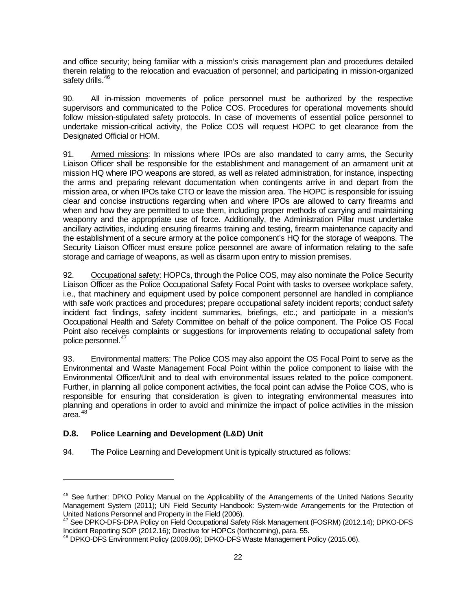and office security; being familiar with a mission's crisis management plan and procedures detailed therein relating to the relocation and evacuation of personnel; and participating in mission-organized safety drills.<sup>[46](#page-20-1)</sup>

90. All in-mission movements of police personnel must be authorized by the respective supervisors and communicated to the Police COS. Procedures for operational movements should follow mission-stipulated safety protocols. In case of movements of essential police personnel to undertake mission-critical activity, the Police COS will request HOPC to get clearance from the Designated Official or HOM.

91. Armed missions: In missions where IPOs are also mandated to carry arms, the Security Liaison Officer shall be responsible for the establishment and management of an armament unit at mission HQ where IPO weapons are stored, as well as related administration, for instance, inspecting the arms and preparing relevant documentation when contingents arrive in and depart from the mission area, or when IPOs take CTO or leave the mission area. The HOPC is responsible for issuing clear and concise instructions regarding when and where IPOs are allowed to carry firearms and when and how they are permitted to use them, including proper methods of carrying and maintaining weaponry and the appropriate use of force. Additionally, the Administration Pillar must undertake ancillary activities, including ensuring firearms training and testing, firearm maintenance capacity and the establishment of a secure armory at the police component's HQ for the storage of weapons. The Security Liaison Officer must ensure police personnel are aware of information relating to the safe storage and carriage of weapons, as well as disarm upon entry to mission premises.

92. Occupational safety: HOPCs, through the Police COS, may also nominate the Police Security Liaison Officer as the Police Occupational Safety Focal Point with tasks to oversee workplace safety, i.e., that machinery and equipment used by police component personnel are handled in compliance with safe work practices and procedures; prepare occupational safety incident reports; conduct safety incident fact findings, safety incident summaries, briefings, etc.; and participate in a mission's Occupational Health and Safety Committee on behalf of the police component. The Police OS Focal Point also receives complaints or suggestions for improvements relating to occupational safety from police personnel. [47](#page-21-0)

93. Environmental matters: The Police COS may also appoint the OS Focal Point to serve as the Environmental and Waste Management Focal Point within the police component to liaise with the Environmental Officer/Unit and to deal with environmental issues related to the police component. Further, in planning all police component activities, the focal point can advise the Police COS, who is responsible for ensuring that consideration is given to integrating environmental measures into planning and operations in order to avoid and minimize the impact of police activities in the mission area. [48](#page-21-1)

# **D.8. Police Learning and Development (L&D) Unit**

-

94. The Police Learning and Development Unit is typically structured as follows:

<sup>&</sup>lt;sup>46</sup> See further: DPKO Policy Manual on the Applicability of the Arrangements of the United Nations Security Management System (2011); UN Field Security Handbook: System-wide Arrangements for the Protection of United Nations Personnel and Property in the Field (2006).

<span id="page-21-0"></span><sup>&</sup>lt;sup>47</sup> See DPKO-DFS-DPA Policy on Field Occupational Safety Risk Management (FOSRM) (2012.14); DPKO-DFS<br>Incident Reporting SOP (2012.16); Directive for HOPCs (forthcoming), para. 55.

<span id="page-21-1"></span><sup>&</sup>lt;sup>48</sup> DPKO-DFS Environment Policy (2009.06); DPKO-DFS Waste Management Policy (2015.06).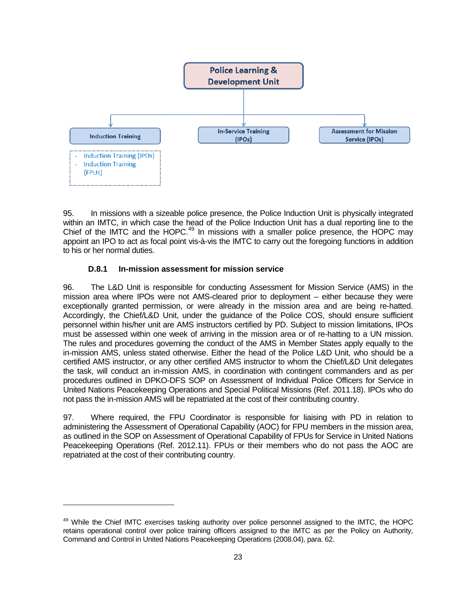

95. In missions with a sizeable police presence, the Police Induction Unit is physically integrated within an IMTC, in which case the head of the Police Induction Unit has a dual reporting line to the Chief of the IMTC and the HOPC.<sup>[49](#page-21-0)</sup> In missions with a smaller police presence, the HOPC may appoint an IPO to act as focal point vis-à-vis the IMTC to carry out the foregoing functions in addition to his or her normal duties.

#### **D.8.1 In-mission assessment for mission service**

<span id="page-22-0"></span>-

96. The L&D Unit is responsible for conducting Assessment for Mission Service (AMS) in the mission area where IPOs were not AMS-cleared prior to deployment – either because they were exceptionally granted permission, or were already in the mission area and are being re-hatted. Accordingly, the Chief/L&D Unit, under the guidance of the Police COS, should ensure sufficient personnel within his/her unit are AMS instructors certified by PD. Subject to mission limitations, IPOs must be assessed within one week of arriving in the mission area or of re-hatting to a UN mission. The rules and procedures governing the conduct of the AMS in Member States apply equally to the in-mission AMS, unless stated otherwise. Either the head of the Police L&D Unit, who should be a certified AMS instructor, or any other certified AMS instructor to whom the Chief/L&D Unit delegates the task, will conduct an in-mission AMS, in coordination with contingent commanders and as per procedures outlined in DPKO-DFS SOP on Assessment of Individual Police Officers for Service in United Nations Peacekeeping Operations and Special Political Missions (Ref. 2011.18). IPOs who do not pass the in-mission AMS will be repatriated at the cost of their contributing country.

97. Where required, the FPU Coordinator is responsible for liaising with PD in relation to administering the Assessment of Operational Capability (AOC) for FPU members in the mission area, as outlined in the SOP on Assessment of Operational Capability of FPUs for Service in United Nations Peacekeeping Operations (Ref. 2012.11). FPUs or their members who do not pass the AOC are repatriated at the cost of their contributing country.

<sup>&</sup>lt;sup>49</sup> While the Chief IMTC exercises tasking authority over police personnel assigned to the IMTC, the HOPC retains operational control over police training officers assigned to the IMTC as per the Policy on Authority, Command and Control in United Nations Peacekeeping Operations (2008.04), para. 62.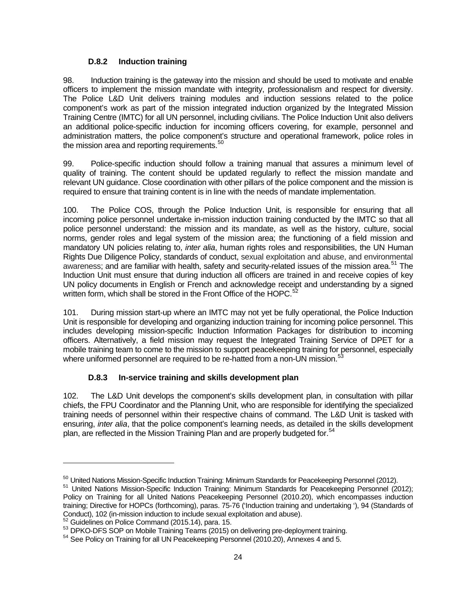# **D.8.2 Induction training**

98. Induction training is the gateway into the mission and should be used to motivate and enable officers to implement the mission mandate with integrity, professionalism and respect for diversity. The Police L&D Unit delivers training modules and induction sessions related to the police component's work as part of the mission integrated induction organized by the Integrated Mission Training Centre (IMTC) for all UN personnel, including civilians. The Police Induction Unit also delivers an additional police-specific induction for incoming officers covering, for example, personnel and administration matters, the police component's structure and operational framework, police roles in the mission area and reporting requirements.<sup>[50](#page-22-0)</sup>

99. Police-specific induction should follow a training manual that assures a minimum level of quality of training. The content should be updated regularly to reflect the mission mandate and relevant UN guidance. Close coordination with other pillars of the police component and the mission is required to ensure that training content is in line with the needs of mandate implementation.

100. The Police COS, through the Police Induction Unit, is responsible for ensuring that all incoming police personnel undertake in-mission induction training conducted by the IMTC so that all police personnel understand: the mission and its mandate, as well as the history, culture, social norms, gender roles and legal system of the mission area; the functioning of a field mission and mandatory UN policies relating to, *inter alia*, human rights roles and responsibilities, the UN Human Rights Due Diligence Policy, standards of conduct, sexual exploitation and abuse, and environmental awareness; and are familiar with health, safety and security-related issues of the mission area.<sup>[51](#page-23-0)</sup> The Induction Unit must ensure that during induction all officers are trained in and receive copies of key UN policy documents in English or French and acknowledge receipt and understanding by a signed written form, which shall be stored in the Front Office of the HOPC.<sup>[52](#page-23-1)</sup>

101. During mission start-up where an IMTC may not yet be fully operational, the Police Induction Unit is responsible for developing and organizing induction training for incoming police personnel. This includes developing mission-specific Induction Information Packages for distribution to incoming officers. Alternatively, a field mission may request the Integrated Training Service of DPET for a mobile training team to come to the mission to support peacekeeping training for personnel, especially where uniformed personnel are required to be re-hatted from a non-UN mission.<sup>[53](#page-23-2)</sup>

# **D.8.3 In-service training and skills development plan**

102. The L&D Unit develops the component's skills development plan, in consultation with pillar chiefs, the FPU Coordinator and the Planning Unit, who are responsible for identifying the specialized training needs of personnel within their respective chains of command. The L&D Unit is tasked with ensuring, *inter alia*, that the police component's learning needs, as detailed in the skills development plan, are reflected in the Mission Training Plan and are properly budgeted for.<sup>[54](#page-23-3)</sup>

<span id="page-23-4"></span><u>.</u>

<span id="page-23-0"></span><sup>&</sup>lt;sup>50</sup> United Nations Mission-Specific Induction Training: Minimum Standards for Peacekeeping Personnel (2012).<br><sup>51</sup> United Nations Mission-Specific Induction Training: Minimum Standards for Peacekeeping Personnel (2012); Policy on Training for all United Nations Peacekeeping Personnel (2010.20), which encompasses induction training; Directive for HOPCs (forthcoming), paras. 75-76 ('Induction training and undertaking '), 94 (Standards of<br>Conduct), 102 (in-mission induction to include sexual exploitation and abuse).

<span id="page-23-2"></span><span id="page-23-1"></span>

 $52$  Guidelines on Police Command (2015.14), para. 15.<br> $53$  DPKO-DFS SOP on Mobile Training Teams (2015) on delivering pre-deployment training.<br> $54$  See Policy on Training for all UN Peacekeeping Personnel (2010.20), Anne

<span id="page-23-3"></span>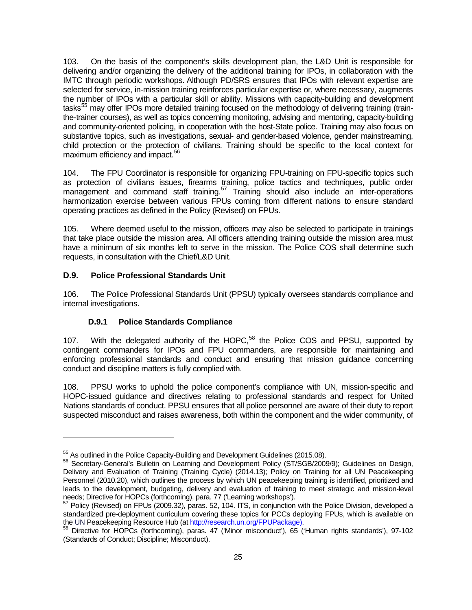103. On the basis of the component's skills development plan, the L&D Unit is responsible for delivering and/or organizing the delivery of the additional training for IPOs, in collaboration with the IMTC through periodic workshops. Although PD/SRS ensures that IPOs with relevant expertise are selected for service, in-mission training reinforces particular expertise or, where necessary, augments the number of IPOs with a particular skill or ability. Missions with capacity-building and development tasks<sup>[55](#page-23-4)</sup> mav offer IPOs more detailed training focused on the methodology of delivering training (trainthe-trainer courses), as well as topics concerning monitoring, advising and mentoring, capacity-building and community-oriented policing, in cooperation with the host-State police. Training may also focus on substantive topics, such as investigations, sexual- and gender-based violence, gender mainstreaming, child protection or the protection of civilians. Training should be specific to the local context for maximum efficiency and impact. [56](#page-24-0)

104. The FPU Coordinator is responsible for organizing FPU-training on FPU-specific topics such as protection of civilians issues, firearms training, police tactics and techniques, public order management and command staff training.<sup>[57](#page-24-1)</sup> Training should also include an inter-operations harmonization exercise between various FPUs coming from different nations to ensure standard operating practices as defined in the Policy (Revised) on FPUs.

105. Where deemed useful to the mission, officers may also be selected to participate in trainings that take place outside the mission area. All officers attending training outside the mission area must have a minimum of six months left to serve in the mission. The Police COS shall determine such requests, in consultation with the Chief/L&D Unit.

# **D.9. Police Professional Standards Unit**

-

106. The Police Professional Standards Unit (PPSU) typically oversees standards compliance and internal investigations.

# **D.9.1 Police Standards Compliance**

107. With the delegated authority of the HOPC,<sup>[58](#page-24-2)</sup> the Police COS and PPSU, supported by contingent commanders for IPOs and FPU commanders, are responsible for maintaining and enforcing professional standards and conduct and ensuring that mission guidance concerning conduct and discipline matters is fully complied with.

108. PPSU works to uphold the police component's compliance with UN, mission-specific and HOPC-issued guidance and directives relating to professional standards and respect for United Nations standards of conduct. PPSU ensures that all police personnel are aware of their duty to report suspected misconduct and raises awareness, both within the component and the wider community, of

<span id="page-24-0"></span><sup>&</sup>lt;sup>55</sup> As outlined in the Police Capacity-Building and Development Guidelines (2015.08).<br><sup>56</sup> Secretary-General's Bulletin on Learning and Development Policy (ST/SGB/2009/9); Guidelines on Design, Delivery and Evaluation of Training (Training Cycle) (2014.13); Policy on Training for all UN Peacekeeping Personnel (2010.20), which outlines the process by which UN peacekeeping training is identified, prioritized and leads to the development, budgeting, delivery and evaluation of training to meet strategic and mission-level<br>needs; Directive for HOPCs (forthcoming), para. 77 ('Learning workshops').

<span id="page-24-3"></span><span id="page-24-1"></span> $57$  Policy (Revised) on FPUs (2009.32), paras. 52, 104. ITS, in conjunction with the Police Division, developed a standardized pre-deployment curriculum covering these topics for PCCs deploying FPUs, which is available on the UN Peacekeeping Resource Hub (at http://research.un.org/FPUPackage).

<span id="page-24-2"></span>Directive for HOPCs (forthcoming), paras. 47 ('Minor misconduct'), 65 ('Human rights standards'), 97-102 (Standards of Conduct; Discipline; Misconduct).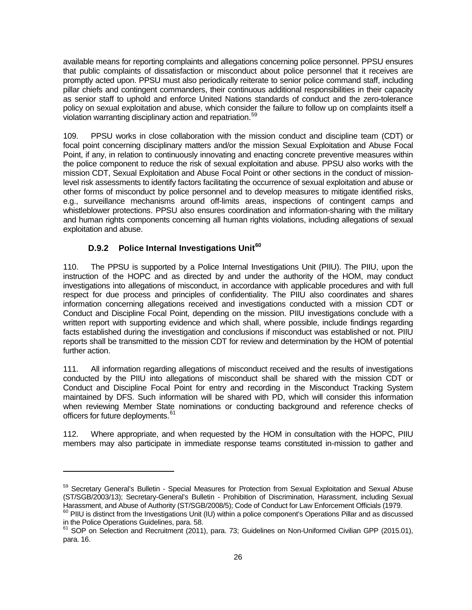available means for reporting complaints and allegations concerning police personnel. PPSU ensures that public complaints of dissatisfaction or misconduct about police personnel that it receives are promptly acted upon. PPSU must also periodically reiterate to senior police command staff, including pillar chiefs and contingent commanders, their continuous additional responsibilities in their capacity as senior staff to uphold and enforce United Nations standards of conduct and the zero-tolerance policy on sexual exploitation and abuse, which consider the failure to follow up on complaints itself a violation warranting disciplinary action and repatriation.<sup>[59](#page-24-3)</sup>

109. PPSU works in close collaboration with the mission conduct and discipline team (CDT) or focal point concerning disciplinary matters and/or the mission Sexual Exploitation and Abuse Focal Point, if any, in relation to continuously innovating and enacting concrete preventive measures within the police component to reduce the risk of sexual exploitation and abuse. PPSU also works with the mission CDT, Sexual Exploitation and Abuse Focal Point or other sections in the conduct of missionlevel risk assessments to identify factors facilitating the occurrence of sexual exploitation and abuse or other forms of misconduct by police personnel and to develop measures to mitigate identified risks, e.g., surveillance mechanisms around off-limits areas, inspections of contingent camps and whistleblower protections. PPSU also ensures coordination and information-sharing with the military and human rights components concerning all human rights violations, including allegations of sexual exploitation and abuse.

# **D.9.2 Police Internal Investigations Unit[60](#page-25-0)**

<u>.</u>

110. The PPSU is supported by a Police Internal Investigations Unit (PIIU). The PIIU, upon the instruction of the HOPC and as directed by and under the authority of the HOM, may conduct investigations into allegations of misconduct, in accordance with applicable procedures and with full respect for due process and principles of confidentiality. The PIIU also coordinates and shares information concerning allegations received and investigations conducted with a mission CDT or Conduct and Discipline Focal Point, depending on the mission. PIIU investigations conclude with a written report with supporting evidence and which shall, where possible, include findings regarding facts established during the investigation and conclusions if misconduct was established or not. PIIU reports shall be transmitted to the mission CDT for review and determination by the HOM of potential further action.

111. All information regarding allegations of misconduct received and the results of investigations conducted by the PIIU into allegations of misconduct shall be shared with the mission CDT or Conduct and Discipline Focal Point for entry and recording in the Misconduct Tracking System maintained by DFS. Such information will be shared with PD, which will consider this information when reviewing Member State nominations or conducting background and reference checks of officers for future deployments.<sup>[61](#page-25-1)</sup>

112. Where appropriate, and when requested by the HOM in consultation with the HOPC, PIIU members may also participate in immediate response teams constituted in-mission to gather and

<sup>59</sup> Secretary General's Bulletin - Special Measures for Protection from Sexual Exploitation and Sexual Abuse (ST/SGB/2003/13); Secretary-General's Bulletin - Prohibition of Discrimination, Harassment, including Sexual<br>Harassment, and Abuse of Authority (ST/SGB/2008/5); Code of Conduct for Law Enforcement Officials (1979.

<span id="page-25-2"></span><span id="page-25-0"></span> $^{60}$  PIIU is distinct from the Investigations Unit (IU) within a police component's Operations Pillar and as discussed in the Police Operations Guidelines, para. 58.<br><sup>61</sup> SOP on Selection and Recruitment (2011), para. 73; Guidelines on Non-Uniformed Civilian GPP (2015.01),

<span id="page-25-1"></span>para. 16.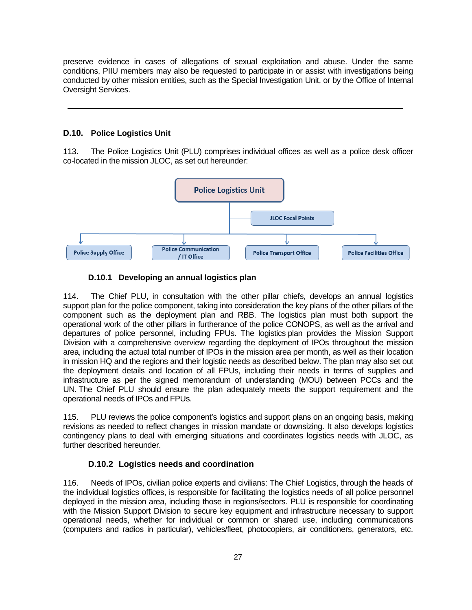preserve evidence in cases of allegations of sexual exploitation and abuse. Under the same conditions, PIIU members may also be requested to participate in or assist with investigations being conducted by other mission entities, such as the Special Investigation Unit, or by the Office of Internal Oversight Services.

#### **D.10. Police Logistics Unit**

113. The Police Logistics Unit (PLU) comprises individual offices as well as a police desk officer co-located in the mission JLOC, as set out hereunder:



#### **D.10.1 Developing an annual logistics plan**

114. The Chief PLU, in consultation with the other pillar chiefs, develops an annual logistics support plan for the police component, taking into consideration the key plans of the other pillars of the component such as the deployment plan and RBB. The logistics plan must both support the operational work of the other pillars in furtherance of the police CONOPS, as well as the arrival and departures of police personnel, including FPUs. The logistics plan provides the Mission Support Division with a comprehensive overview regarding the deployment of IPOs throughout the mission area, including the actual total number of IPOs in the mission area per month, as well as their location in mission HQ and the regions and their logistic needs as described below. The plan may also set out the deployment details and location of all FPUs, including their needs in terms of supplies and infrastructure as per the signed memorandum of understanding (MOU) between PCCs and the UN. The Chief PLU should ensure the plan adequately meets the support requirement and the operational needs of IPOs and FPUs.

115. PLU reviews the police component's logistics and support plans on an ongoing basis, making revisions as needed to reflect changes in mission mandate or downsizing. It also develops logistics contingency plans to deal with emerging situations and coordinates logistics needs with JLOC, as further described hereunder.

#### **D.10.2 Logistics needs and coordination**

116. Needs of IPOs, civilian police experts and civilians: The Chief Logistics, through the heads of the individual logistics offices, is responsible for facilitating the logistics needs of all police personnel deployed in the mission area, including those in regions/sectors. PLU is responsible for coordinating with the Mission Support Division to secure key equipment and infrastructure necessary to support operational needs, whether for individual or common or shared use, including communications (computers and radios in particular), vehicles/fleet, photocopiers, air conditioners, generators, etc.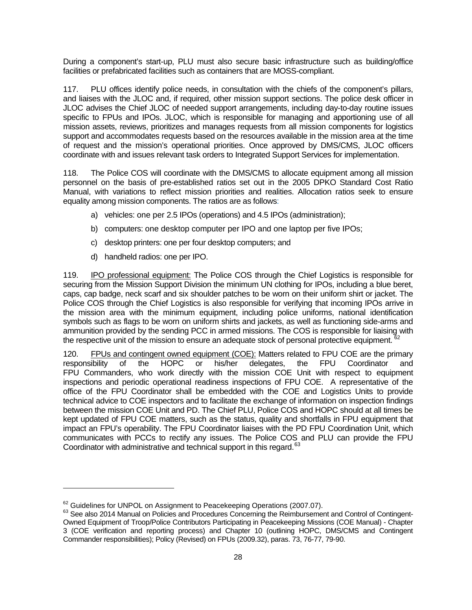During a component's start-up, PLU must also secure basic infrastructure such as building/office facilities or prefabricated facilities such as containers that are MOSS-compliant.

117. PLU offices identify police needs, in consultation with the chiefs of the component's pillars, and liaises with the JLOC and, if required, other mission support sections. The police desk officer in JLOC advises the Chief JLOC of needed support arrangements, including day-to-day routine issues specific to FPUs and IPOs. JLOC, which is responsible for managing and apportioning use of all mission assets, reviews, prioritizes and manages requests from all mission components for logistics support and accommodates requests based on the resources available in the mission area at the time of request and the mission's operational priorities. Once approved by DMS/CMS, JLOC officers coordinate with and issues relevant task orders to Integrated Support Services for implementation.

118. The Police COS will coordinate with the DMS/CMS to allocate equipment among all mission personnel on the basis of pre-established ratios set out in the 2005 DPKO Standard Cost Ratio Manual, with variations to reflect mission priorities and realities. Allocation ratios seek to ensure equality among mission components. The ratios are as follows:

- a) vehicles: one per 2.5 IPOs (operations) and 4.5 IPOs (administration);
- b) computers: one desktop computer per IPO and one laptop per five IPOs;
- c) desktop printers: one per four desktop computers; and
- d) handheld radios: one per IPO.

-

119. IPO professional equipment: The Police COS through the Chief Logistics is responsible for securing from the Mission Support Division the minimum UN clothing for IPOs, including a blue beret, caps, cap badge, neck scarf and six shoulder patches to be worn on their uniform shirt or jacket. The Police COS through the Chief Logistics is also responsible for verifying that incoming IPOs arrive in the mission area with the minimum equipment, including police uniforms, national identification symbols such as flags to be worn on uniform shirts and jackets, as well as functioning side-arms and ammunition provided by the sending PCC in armed missions. The COS is responsible for liaising with the respective unit of the mission to ensure an adequate stock of personal protective equipment.

120. FPUs and contingent owned equipment (COE): Matters related to FPU COE are the primary responsibility of the HOPC or his/her delegates, the FPU Coordinator and FPU Commanders, who work directly with the mission COE Unit with respect to equipment inspections and periodic operational readiness inspections of FPU COE. A representative of the office of the FPU Coordinator shall be embedded with the COE and Logistics Units to provide technical advice to COE inspectors and to facilitate the exchange of information on inspection findings between the mission COE Unit and PD. The Chief PLU, Police COS and HOPC should at all times be kept updated of FPU COE matters, such as the status, quality and shortfalls in FPU equipment that impact an FPU's operability. The FPU Coordinator liaises with the PD FPU Coordination Unit, which communicates with PCCs to rectify any issues. The Police COS and PLU can provide the FPU Coordinator with administrative and technical support in this regard.<sup>[63](#page-27-0)</sup>

<span id="page-27-1"></span><span id="page-27-0"></span>

 $62$  Guidelines for UNPOL on Assignment to Peacekeeping Operations (2007.07).<br> $63$  See also 2014 Manual on Policies and Procedures Concerning the Reimbursement and Control of Contingent-Owned Equipment of Troop/Police Contributors Participating in Peacekeeping Missions (COE Manual) - Chapter 3 (COE verification and reporting process) and Chapter 10 (outlining HOPC, DMS/CMS and Contingent Commander responsibilities); Policy (Revised) on FPUs (2009.32), paras. 73, 76-77, 79-90.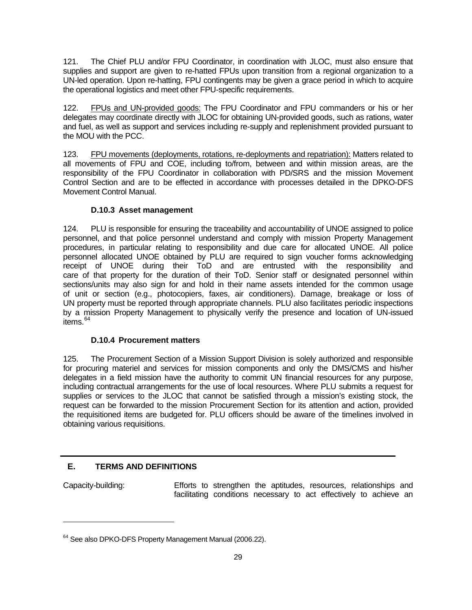121. The Chief PLU and/or FPU Coordinator, in coordination with JLOC, must also ensure that supplies and support are given to re-hatted FPUs upon transition from a regional organization to a UN-led operation. Upon re-hatting, FPU contingents may be given a grace period in which to acquire the operational logistics and meet other FPU-specific requirements.

122. FPUs and UN-provided goods: The FPU Coordinator and FPU commanders or his or her delegates may coordinate directly with JLOC for obtaining UN-provided goods, such as rations, water and fuel, as well as support and services including re-supply and replenishment provided pursuant to the MOU with the PCC.

123. FPU movements (deployments, rotations, re-deployments and repatriation): Matters related to all movements of FPU and COE, including to/from, between and within mission areas, are the responsibility of the FPU Coordinator in collaboration with PD/SRS and the mission Movement Control Section and are to be effected in accordance with processes detailed in the DPKO-DFS Movement Control Manual.

#### **D.10.3 Asset management**

124. PLU is responsible for ensuring the traceability and accountability of UNOE assigned to police personnel, and that police personnel understand and comply with mission Property Management procedures, in particular relating to responsibility and due care for allocated UNOE. All police personnel allocated UNOE obtained by PLU are required to sign voucher forms acknowledging receipt of UNOE during their ToD and are entrusted with the responsibility and care of that property for the duration of their ToD. Senior staff or designated personnel within sections/units may also sign for and hold in their name assets intended for the common usage of unit or section (e.g., photocopiers, faxes, air conditioners). Damage, breakage or loss of UN property must be reported through appropriate channels. PLU also facilitates periodic inspections by a mission Property Management to physically verify the presence and location of UN-issued items.<sup>[64](#page-27-1)</sup>

#### **D.10.4 Procurement matters**

125. The Procurement Section of a Mission Support Division is solely authorized and responsible for procuring materiel and services for mission components and only the DMS/CMS and his/her delegates in a field mission have the authority to commit UN financial resources for any purpose, including contractual arrangements for the use of local resources. Where PLU submits a request for supplies or services to the JLOC that cannot be satisfied through a mission's existing stock, the request can be forwarded to the mission Procurement Section for its attention and action, provided the requisitioned items are budgeted for. PLU officers should be aware of the timelines involved in obtaining various requisitions.

# **E. TERMS AND DEFINITIONS**

<u>.</u>

Capacity-building: Efforts to strengthen the aptitudes, resources, relationships and facilitating conditions necessary to act effectively to achieve an

<sup>&</sup>lt;sup>64</sup> See also DPKO-DFS Property Management Manual (2006.22).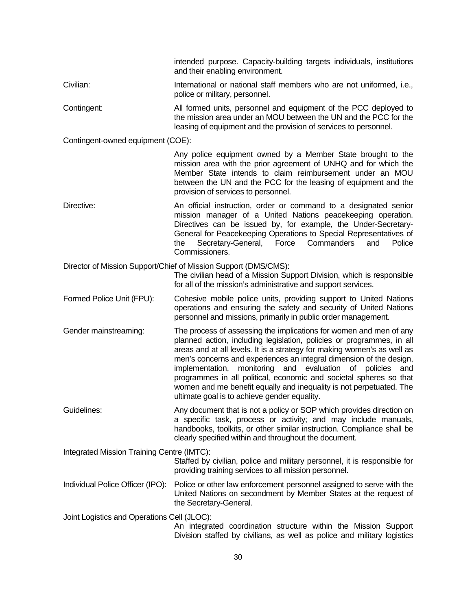|                                             | intended purpose. Capacity-building targets individuals, institutions<br>and their enabling environment.                                                                                                                                                                                                                                                                                                                                                                                                                                                   |  |
|---------------------------------------------|------------------------------------------------------------------------------------------------------------------------------------------------------------------------------------------------------------------------------------------------------------------------------------------------------------------------------------------------------------------------------------------------------------------------------------------------------------------------------------------------------------------------------------------------------------|--|
| Civilian:                                   | International or national staff members who are not uniformed, i.e.,<br>police or military, personnel.                                                                                                                                                                                                                                                                                                                                                                                                                                                     |  |
| Contingent:                                 | All formed units, personnel and equipment of the PCC deployed to<br>the mission area under an MOU between the UN and the PCC for the<br>leasing of equipment and the provision of services to personnel.                                                                                                                                                                                                                                                                                                                                                   |  |
| Contingent-owned equipment (COE):           |                                                                                                                                                                                                                                                                                                                                                                                                                                                                                                                                                            |  |
|                                             | Any police equipment owned by a Member State brought to the<br>mission area with the prior agreement of UNHQ and for which the<br>Member State intends to claim reimbursement under an MOU<br>between the UN and the PCC for the leasing of equipment and the<br>provision of services to personnel.                                                                                                                                                                                                                                                       |  |
| Directive:                                  | An official instruction, order or command to a designated senior<br>mission manager of a United Nations peacekeeping operation.<br>Directives can be issued by, for example, the Under-Secretary-<br>General for Peacekeeping Operations to Special Representatives of<br>Secretary-General,<br>Commanders<br>Police<br>Force<br>and<br>the<br>Commissioners.                                                                                                                                                                                              |  |
|                                             | Director of Mission Support/Chief of Mission Support (DMS/CMS):<br>The civilian head of a Mission Support Division, which is responsible<br>for all of the mission's administrative and support services.                                                                                                                                                                                                                                                                                                                                                  |  |
| Formed Police Unit (FPU):                   | Cohesive mobile police units, providing support to United Nations<br>operations and ensuring the safety and security of United Nations<br>personnel and missions, primarily in public order management.                                                                                                                                                                                                                                                                                                                                                    |  |
| Gender mainstreaming:                       | The process of assessing the implications for women and men of any<br>planned action, including legislation, policies or programmes, in all<br>areas and at all levels. It is a strategy for making women's as well as<br>men's concerns and experiences an integral dimension of the design,<br>implementation, monitoring and evaluation of policies<br>and<br>programmes in all political, economic and societal spheres so that<br>women and me benefit equally and inequality is not perpetuated. The<br>ultimate goal is to achieve gender equality. |  |
| Guidelines:                                 | Any document that is not a policy or SOP which provides direction on<br>a specific task, process or activity; and may include manuals,<br>handbooks, toolkits, or other similar instruction. Compliance shall be<br>clearly specified within and throughout the document.                                                                                                                                                                                                                                                                                  |  |
| Integrated Mission Training Centre (IMTC):  | Staffed by civilian, police and military personnel, it is responsible for<br>providing training services to all mission personnel.                                                                                                                                                                                                                                                                                                                                                                                                                         |  |
| Individual Police Officer (IPO):            | Police or other law enforcement personnel assigned to serve with the<br>United Nations on secondment by Member States at the request of<br>the Secretary-General.                                                                                                                                                                                                                                                                                                                                                                                          |  |
| Joint Logistics and Operations Cell (JLOC): | An integrated coordination structure within the Mission Support<br>Division staffed by civilians, as well as police and military logistics                                                                                                                                                                                                                                                                                                                                                                                                                 |  |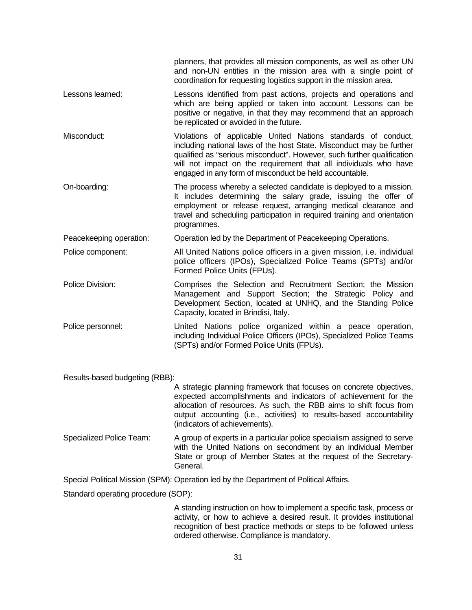|                         | planners, that provides all mission components, as well as other UN<br>and non-UN entities in the mission area with a single point of<br>coordination for requesting logistics support in the mission area.                                                                                                                                   |
|-------------------------|-----------------------------------------------------------------------------------------------------------------------------------------------------------------------------------------------------------------------------------------------------------------------------------------------------------------------------------------------|
| Lessons learned:        | Lessons identified from past actions, projects and operations and<br>which are being applied or taken into account. Lessons can be<br>positive or negative, in that they may recommend that an approach<br>be replicated or avoided in the future.                                                                                            |
| Misconduct:             | Violations of applicable United Nations standards of conduct,<br>including national laws of the host State. Misconduct may be further<br>qualified as "serious misconduct". However, such further qualification<br>will not impact on the requirement that all individuals who have<br>engaged in any form of misconduct be held accountable. |
| On-boarding:            | The process whereby a selected candidate is deployed to a mission.<br>It includes determining the salary grade, issuing the offer of<br>employment or release request, arranging medical clearance and<br>travel and scheduling participation in required training and orientation<br>programmes.                                             |
| Peacekeeping operation: | Operation led by the Department of Peacekeeping Operations.                                                                                                                                                                                                                                                                                   |
| Police component:       | All United Nations police officers in a given mission, i.e. individual<br>police officers (IPOs), Specialized Police Teams (SPTs) and/or<br>Formed Police Units (FPUs).                                                                                                                                                                       |
| Police Division:        | Comprises the Selection and Recruitment Section; the Mission<br>Management and Support Section; the Strategic Policy and<br>Development Section, located at UNHQ, and the Standing Police<br>Capacity, located in Brindisi, Italy.                                                                                                            |
| Police personnel:       | United Nations police organized within a peace operation,<br>including Individual Police Officers (IPOs), Specialized Police Teams<br>(SPTs) and/or Formed Police Units (FPUs).                                                                                                                                                               |
|                         |                                                                                                                                                                                                                                                                                                                                               |

Results-based budgeting (RBB):

A strategic planning framework that focuses on concrete objectives, expected accomplishments and indicators of achievement for the allocation of resources. As such, the RBB aims to shift focus from output accounting (i.e., activities) to results-based accountability (indicators of achievements).

Specialized Police Team: A group of experts in a particular police specialism assigned to serve with the United Nations on secondment by an individual Member State or group of Member States at the request of the Secretary-General.

Special Political Mission (SPM): Operation led by the Department of Political Affairs.

Standard operating procedure (SOP):

A standing instruction on how to implement a specific task, process or activity, or how to achieve a desired result. It provides institutional recognition of best practice methods or steps to be followed unless ordered otherwise. Compliance is mandatory.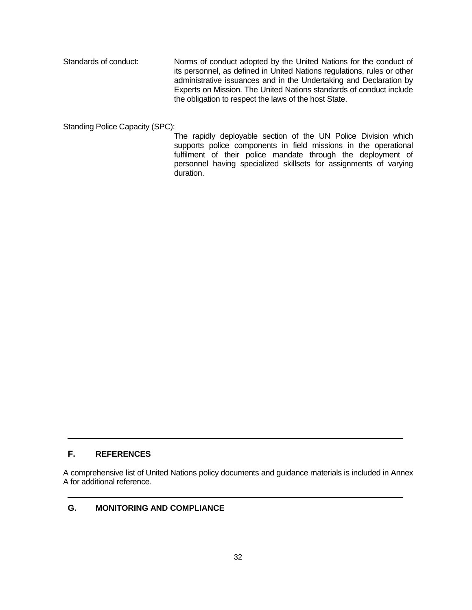Standards of conduct: Norms of conduct adopted by the United Nations for the conduct of its personnel, as defined in United Nations regulations, rules or other administrative issuances and in the Undertaking and Declaration by Experts on Mission. The United Nations standards of conduct include the obligation to respect the laws of the host State.

Standing Police Capacity (SPC):

The rapidly deployable section of the UN Police Division which supports police components in field missions in the operational fulfilment of their police mandate through the deployment of personnel having specialized skillsets for assignments of varying duration.

# **F. REFERENCES**

A comprehensive list of United Nations policy documents and guidance materials is included in Annex A for additional reference.

#### **G. MONITORING AND COMPLIANCE**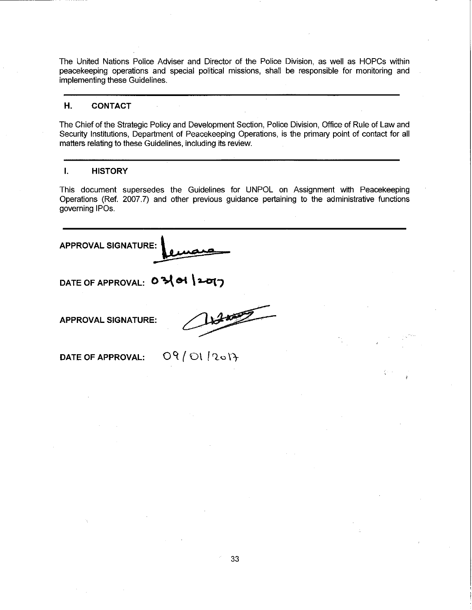The United Nations Police Adviser and Director of the Police Division, as well as HOPCs within peacekeeping operations and special political missions, shall be responsible for monitoring and implementing these Guidelines.

#### Η. **CONTACT**

The Chief of the Strategic Policy and Development Section, Police Division, Office of Rule of Law and Security Institutions, Department of Peacekeeping Operations, is the primary point of contact for all matters relating to these Guidelines, including its review.

#### $\mathbf{L}$ **HISTORY**

This document supersedes the Guidelines for UNPOL on Assignment with Peacekeeping Operations (Ref. 2007.7) and other previous guidance pertaining to the administrative functions governing IPOs.

**APPROVAL SIGNATURE:** 

DATE OF APPROVAL: 0 3 of

**APPROVAL SIGNATURE:** 

DATE OF APPROVAL:

09/01/2017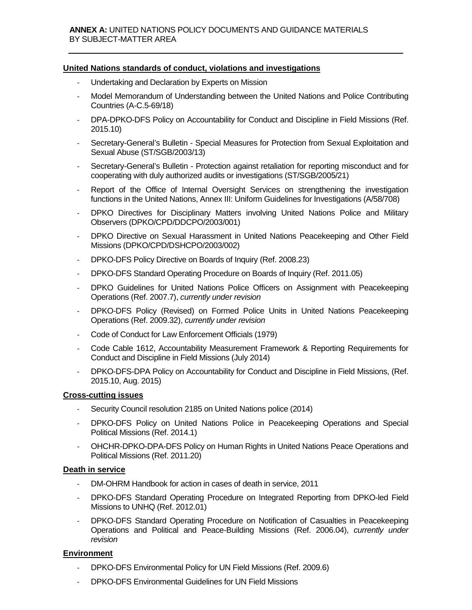# **United Nations standards of conduct, violations and investigations**

- Undertaking and Declaration by Experts on Mission
- Model Memorandum of Understanding between the United Nations and Police Contributing Countries (A-C.5-69/18)
- DPA-DPKO-DFS Policy on Accountability for Conduct and Discipline in Field Missions (Ref. 2015.10)
- Secretary-General's Bulletin Special Measures for Protection from Sexual Exploitation and Sexual Abuse (ST/SGB/2003/13)
- Secretary-General's Bulletin Protection against retaliation for reporting misconduct and for cooperating with duly authorized audits or investigations (ST/SGB/2005/21)
- Report of the Office of Internal Oversight Services on strengthening the investigation functions in the United Nations, Annex III: Uniform Guidelines for Investigations (A/58/708)
- DPKO Directives for Disciplinary Matters involving United Nations Police and Military Observers (DPKO/CPD/DDCPO/2003/001)
- DPKO Directive on Sexual Harassment in United Nations Peacekeeping and Other Field Missions (DPKO/CPD/DSHCPO/2003/002)
- DPKO-DFS Policy Directive on Boards of Inquiry (Ref. 2008.23)
- DPKO-DFS Standard Operating Procedure on Boards of Inquiry (Ref. 2011.05)
- DPKO Guidelines for United Nations Police Officers on Assignment with Peacekeeping Operations (Ref. 2007.7), *currently under revision*
- DPKO-DFS Policy (Revised) on Formed Police Units in United Nations Peacekeeping Operations (Ref. 2009.32), *currently under revision*
- Code of Conduct for Law Enforcement Officials (1979)
- Code Cable 1612, Accountability Measurement Framework & Reporting Requirements for Conduct and Discipline in Field Missions (July 2014)
- DPKO-DFS-DPA Policy on Accountability for Conduct and Discipline in Field Missions, (Ref. 2015.10, Aug. 2015)

#### **Cross-cutting issues**

- Security Council resolution 2185 on United Nations police (2014)
- DPKO-DFS Policy on United Nations Police in Peacekeeping Operations and Special Political Missions (Ref. 2014.1)
- OHCHR-DPKO-DPA-DFS Policy on Human Rights in United Nations Peace Operations and Political Missions (Ref. 2011.20)

#### **Death in service**

- DM-OHRM Handbook for action in cases of death in service, 2011
- DPKO-DFS Standard Operating Procedure on Integrated Reporting from DPKO-led Field Missions to UNHQ (Ref. 2012.01)
- DPKO-DFS Standard Operating Procedure on Notification of Casualties in Peacekeeping Operations and Political and Peace-Building Missions (Ref. 2006.04), *currently under revision*

# **Environment**

- DPKO-DFS Environmental Policy for UN Field Missions (Ref. 2009.6)
- DPKO-DFS Environmental Guidelines for UN Field Missions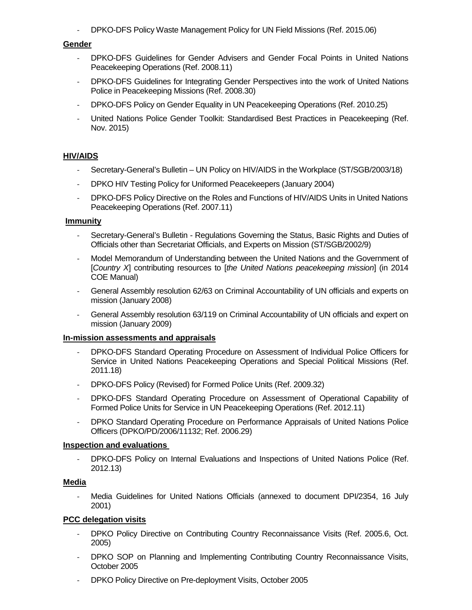- DPKO-DFS Policy Waste Management Policy for UN Field Missions (Ref. 2015.06)

#### **Gender**

- DPKO-DFS Guidelines for Gender Advisers and Gender Focal Points in United Nations Peacekeeping Operations (Ref. 2008.11)
- DPKO-DFS Guidelines for Integrating Gender Perspectives into the work of United Nations Police in Peacekeeping Missions (Ref. 2008.30)
- DPKO-DFS Policy on Gender Equality in UN Peacekeeping Operations (Ref. 2010.25)
- United Nations Police Gender Toolkit: Standardised Best Practices in Peacekeeping (Ref. Nov. 2015)

# **HIV/AIDS**

- Secretary-General's Bulletin UN Policy on HIV/AIDS in the Workplace (ST/SGB/2003/18)
- DPKO HIV Testing Policy for Uniformed Peacekeepers (January 2004)
- DPKO-DFS Policy Directive on the Roles and Functions of HIV/AIDS Units in United Nations Peacekeeping Operations (Ref. 2007.11)

#### **Immunity**

- Secretary-General's Bulletin Regulations Governing the Status, Basic Rights and Duties of Officials other than Secretariat Officials, and Experts on Mission (ST/SGB/2002/9)
- Model Memorandum of Understanding between the United Nations and the Government of [*Country X*] contributing resources to [*the United Nations peacekeeping mission*] (in 2014 COE Manual)
- General Assembly resolution 62/63 on Criminal Accountability of UN officials and experts on mission (January 2008)
- General Assembly resolution 63/119 on Criminal Accountability of UN officials and expert on mission (January 2009)

#### **In-mission assessments and appraisals**

- DPKO-DFS Standard Operating Procedure on Assessment of Individual Police Officers for Service in United Nations Peacekeeping Operations and Special Political Missions (Ref. 2011.18)
- DPKO-DFS Policy (Revised) for Formed Police Units (Ref. 2009.32)
- DPKO-DFS Standard Operating Procedure on Assessment of Operational Capability of Formed Police Units for Service in UN Peacekeeping Operations (Ref. 2012.11)
- DPKO Standard Operating Procedure on Performance Appraisals of United Nations Police Officers (DPKO/PD/2006/11132; Ref. 2006.29)

#### **Inspection and evaluations**

- DPKO-DFS Policy on Internal Evaluations and Inspections of United Nations Police (Ref. 2012.13)

# **Media**

Media Guidelines for United Nations Officials (annexed to document DPI/2354, 16 July 2001)

# **PCC delegation visits**

- DPKO Policy Directive on Contributing Country Reconnaissance Visits (Ref. 2005.6, Oct. 2005)
- DPKO SOP on Planning and Implementing Contributing Country Reconnaissance Visits, October 2005
- DPKO Policy Directive on Pre-deployment Visits, October 2005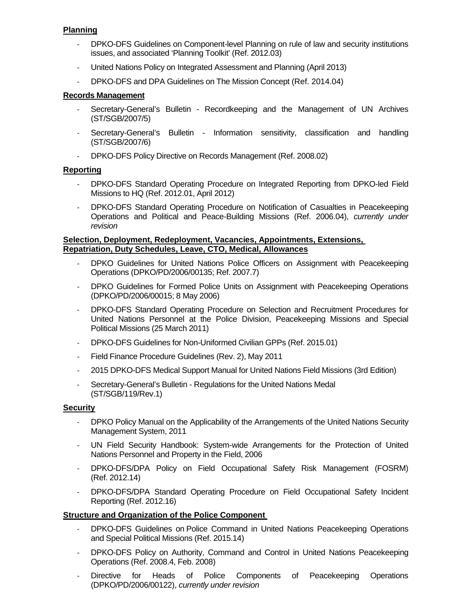# **Planning**

- DPKO-DFS Guidelines on Component-level Planning on rule of law and security institutions issues, and associated 'Planning Toolkit' (Ref. 2012.03)
- United Nations Policy on Integrated Assessment and Planning (April 2013)
- DPKO-DFS and DPA Guidelines on The Mission Concept (Ref. 2014.04)

# **Records Management**

- Secretary-General's Bulletin Recordkeeping and the Management of UN Archives (ST/SGB/2007/5)
- Secretary-General's Bulletin Information sensitivity, classification and handling (ST/SGB/2007/6)
- DPKO-DFS Policy Directive on Records Management (Ref. 2008.02)

#### **Reporting**

- DPKO-DFS Standard Operating Procedure on Integrated Reporting from DPKO-led Field Missions to HQ (Ref. 2012.01, April 2012)
- DPKO-DFS Standard Operating Procedure on Notification of Casualties in Peacekeeping Operations and Political and Peace-Building Missions (Ref. 2006.04), *currently under revision*

#### **Selection, Deployment, Redeployment, Vacancies, Appointments, Extensions, Repatriation, Duty Schedules, Leave, CTO, Medical, Allowances**

- DPKO Guidelines for United Nations Police Officers on Assignment with Peacekeeping Operations (DPKO/PD/2006/00135; Ref. 2007.7)
- DPKO Guidelines for Formed Police Units on Assignment with Peacekeeping Operations (DPKO/PD/2006/00015; 8 May 2006)
- DPKO-DFS Standard Operating Procedure on Selection and Recruitment Procedures for United Nations Personnel at the Police Division, Peacekeeping Missions and Special Political Missions (25 March 2011)
- DPKO-DFS Guidelines for Non-Uniformed Civilian GPPs (Ref. 2015.01)
- Field Finance Procedure Guidelines (Rev. 2), May 2011
- 2015 DPKO-DFS Medical Support Manual for United Nations Field Missions (3rd Edition)
- Secretary-General's Bulletin Regulations for the United Nations Medal (ST/SGB/119/Rev.1)

#### **Security**

- DPKO Policy Manual on the Applicability of the Arrangements of the United Nations Security Management System, 2011
- UN Field Security Handbook: System-wide Arrangements for the Protection of United Nations Personnel and Property in the Field, 2006
- DPKO-DFS/DPA Policy on Field Occupational Safety Risk Management (FOSRM) (Ref. 2012.14)
- DPKO-DFS/DPA Standard Operating Procedure on Field Occupational Safety Incident Reporting (Ref. 2012.16)

# **Structure and Organization of the Police Component**

- DPKO-DFS Guidelines on [Police Command](http://www.un.org/en/peacekeeping/sites/police/initiatives/guidelines-police-command.shtml) in United Nations Peacekeeping Operations and Special Political Missions (Ref. 2015.14)
- DPKO-DFS Policy on Authority, Command and Control in United Nations Peacekeeping Operations (Ref. 2008.4, Feb. 2008)
- Directive for Heads of Police Components of Peacekeeping Operations (DPKO/PD/2006/00122), *currently under revision*